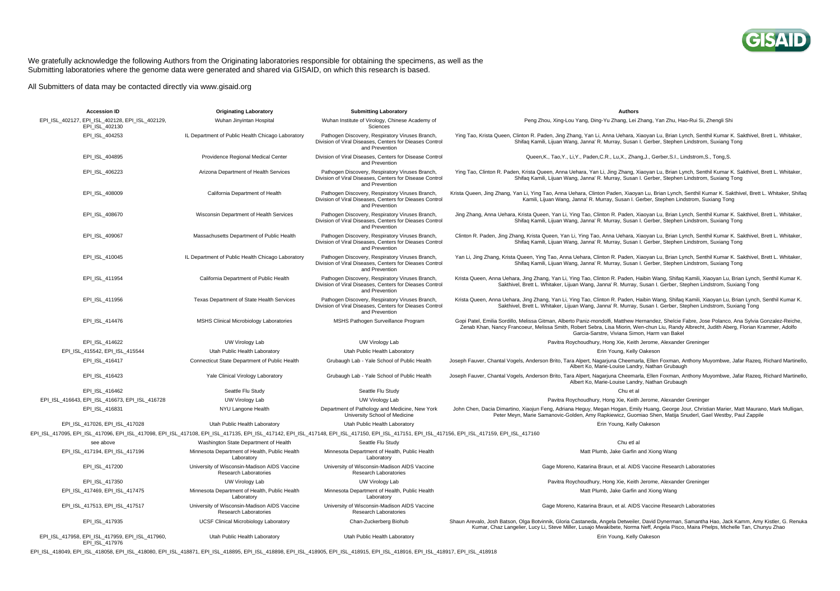

## We gratefully acknowledge the following Authors from the Originating laboratories responsible for obtaining the specimens, as well as the Submitting laboratories where the genome data were generated and shared via GISAID, on which this research is based.

All Submitters of data may be contacted directly via www.gisaid.org

| <b>Accession ID</b>                                                                                                                                                                                                            | <b>Originating Laboratory</b>                                                | <b>Submitting Laboratory</b>                                                                                                 | <b>Authors</b>                                                                                                                                                                                                                                                                                                                                  |
|--------------------------------------------------------------------------------------------------------------------------------------------------------------------------------------------------------------------------------|------------------------------------------------------------------------------|------------------------------------------------------------------------------------------------------------------------------|-------------------------------------------------------------------------------------------------------------------------------------------------------------------------------------------------------------------------------------------------------------------------------------------------------------------------------------------------|
| EPI ISL 402127, EPI ISL 402128, EPI ISL 402129,<br>EPI_ISL_402130                                                                                                                                                              | Wuhan Jinyintan Hospital                                                     | Wuhan Institute of Virology, Chinese Academy of<br>Sciences                                                                  | Peng Zhou, Xing-Lou Yang, Ding-Yu Zhang, Lei Zhang, Yan Zhu, Hao-Rui Si, Zhengli Shi                                                                                                                                                                                                                                                            |
| EPI_ISL_404253                                                                                                                                                                                                                 | IL Department of Public Health Chicago Laboratory                            | Pathogen Discovery, Respiratory Viruses Branch,<br>Division of Viral Diseases, Centers for Dieases Control<br>and Prevention | Ying Tao, Krista Queen, Clinton R. Paden, Jing Zhang, Yan Li, Anna Uehara, Xiaoyan Lu, Brian Lynch, Senthil Kumar K. Sakthivel, Brett L. Whitaker,<br>Shifaq Kamili, Lijuan Wang, Janna' R. Murray, Susan I. Gerber, Stephen Lindstrom, Suxiang Tong                                                                                            |
| EPI ISL 404895                                                                                                                                                                                                                 | Providence Regional Medical Center                                           | Division of Viral Diseases, Centers for Disease Control<br>and Prevention                                                    | Queen, K., Tao, Y., Li, Y., Paden, C.R., Lu, X., Zhang, J., Gerber, S.I., Lindstrom, S., Tong, S.                                                                                                                                                                                                                                               |
| EPI_ISL_406223                                                                                                                                                                                                                 | Arizona Department of Health Services                                        | Pathogen Discovery, Respiratory Viruses Branch,<br>Division of Viral Diseases, Centers for Disease Control<br>and Prevention | Ying Tao, Clinton R. Paden, Krista Queen, Anna Uehara, Yan Li, Jing Zhang, Xiaoyan Lu, Brian Lynch, Senthil Kumar K. Sakthivel, Brett L. Whitaker,<br>Shifaq Kamili, Lijuan Wang, Janna' R. Murray, Susan I. Gerber, Stephen Lindstrom, Suxiang Tong                                                                                            |
| EPI ISL 408009                                                                                                                                                                                                                 | California Department of Health                                              | Pathogen Discovery, Respiratory Viruses Branch,<br>Division of Viral Diseases, Centers for Dieases Control<br>and Prevention | Krista Queen, Jing Zhang, Yan Li, Ying Tao, Anna Uehara, Clinton Paden, Xiaoyan Lu, Brian Lynch, Senthil Kumar K. Sakthivel, Brett L. Whitaker, Shifaq<br>Kamili, Lijuan Wang, Janna' R. Murray, Susan I. Gerber, Stephen Lindstrom, Suxiang Tong                                                                                               |
| EPI ISL 408670                                                                                                                                                                                                                 | Wisconsin Department of Health Services                                      | Pathogen Discovery, Respiratory Viruses Branch,<br>Division of Viral Diseases, Centers for Dieases Control<br>and Prevention | Jing Zhang, Anna Uehara, Krista Queen, Yan Li, Ying Tao, Clinton R. Paden, Xiaoyan Lu, Brian Lynch, Senthil Kumar K. Sakthivel, Brett L. Whitaker,<br>Shifaq Kamili, Lijuan Wang, Janna' R. Murray, Susan I. Gerber, Stephen Lindstrom, Suxiang Tong                                                                                            |
| EPI_ISL_409067                                                                                                                                                                                                                 | Massachusetts Department of Public Health                                    | Pathogen Discovery, Respiratory Viruses Branch,<br>Division of Viral Diseases, Centers for Dieases Control<br>and Prevention | Clinton R. Paden, Jing Zhang, Krista Queen, Yan Li, Ying Tao, Anna Uehara, Xiaoyan Lu, Brian Lynch, Senthil Kumar K. Sakthivel, Brett L. Whitaker,<br>Shifaq Kamili, Lijuan Wang, Janna' R. Murray, Susan I. Gerber, Stephen Lindstrom, Suxiang Tong                                                                                            |
| EPI ISL 410045                                                                                                                                                                                                                 | IL Department of Public Health Chicago Laboratory                            | Pathogen Discovery, Respiratory Viruses Branch,<br>Division of Viral Diseases, Centers for Dieases Control<br>and Prevention | Yan Li, Jing Zhang, Krista Queen, Ying Tao, Anna Uehara, Clinton R. Paden, Xiaoyan Lu, Brian Lynch, Senthil Kumar K. Sakthivel, Brett L. Whitaker,<br>Shifaq Kamili, Lijuan Wang, Janna' R. Murray, Susan I. Gerber, Stephen Lindstrom, Suxiang Tong                                                                                            |
| EPI ISL 411954                                                                                                                                                                                                                 | California Department of Public Health                                       | Pathogen Discovery, Respiratory Viruses Branch,<br>Division of Viral Diseases, Centers for Dieases Control<br>and Prevention | Krista Queen, Anna Uehara, Jing Zhang, Yan Li, Ying Tao, Clinton R. Paden, Haibin Wang, Shifag Kamili, Xiaoyan Lu, Brian Lynch, Senthil Kumar K.<br>Sakthivel, Brett L. Whitaker, Lijuan Wang, Janna' R. Murray, Susan I. Gerber, Stephen Lindstrom, Suxiang Tong                                                                               |
| EPI ISL 411956                                                                                                                                                                                                                 | Texas Department of State Health Services                                    | Pathogen Discovery, Respiratory Viruses Branch,<br>Division of Viral Diseases, Centers for Dieases Control<br>and Prevention | Krista Queen, Anna Uehara, Jing Zhang, Yan Li, Ying Tao, Clinton R. Paden, Haibin Wang, Shifaq Kamili, Xiaoyan Lu, Brian Lynch, Senthil Kumar K.<br>Sakthivel, Brett L. Whitaker, Lijuan Wang, Janna' R. Murray, Susan I. Gerber, Stephen Lindstrom, Suxiang Tong                                                                               |
| EPI ISL 414476                                                                                                                                                                                                                 | MSHS Clinical Microbiology Laboratories                                      | MSHS Pathogen Surveillance Program                                                                                           | Gopi Patel, Emilia Sordillo, Melissa Gitman, Alberto Paniz-mondolfi, Matthew Hernandez, Shelcie Fabre, Jose Polanco, Ana Sylvia Gonzalez-Reiche,<br>Zenab Khan, Nancy Francoeur, Melissa Smith, Robert Sebra, Lisa Miorin, Wen-chun Liu, Randy Albrecht, Judith Aberg, Florian Krammer, Adolfo<br>Garcia-Sarstre, Viviana Simon, Harm van Bakel |
| EPI ISL 414622                                                                                                                                                                                                                 | UW Virology Lab                                                              | UW Virology Lab                                                                                                              | Pavitra Roychoudhury, Hong Xie, Keith Jerome, Alexander Greninger                                                                                                                                                                                                                                                                               |
| EPI ISL 415542, EPI ISL 415544                                                                                                                                                                                                 | Utah Public Health Laboratory                                                | Utah Public Health Laboratory                                                                                                | Erin Young, Kelly Oakeson                                                                                                                                                                                                                                                                                                                       |
| EPI ISL 416417                                                                                                                                                                                                                 | Connecticut State Department of Public Health                                | Grubaugh Lab - Yale School of Public Health                                                                                  | Joseph Fauver, Chantal Vogels, Anderson Brito, Tara Alpert, Nagarjuna Cheemarla, Ellen Foxman, Anthony Muyombwe, Jafar Razeq, Richard Martinello,<br>Albert Ko, Marie-Louise Landry, Nathan Grubaugh                                                                                                                                            |
| EPI ISL 416423                                                                                                                                                                                                                 | Yale Clinical Virology Laboratory                                            | Grubaugh Lab - Yale School of Public Health                                                                                  | Joseph Fauver, Chantal Vogels, Anderson Brito, Tara Alpert, Nagarjuna Cheemarla, Ellen Foxman, Anthony Muyombwe, Jafar Razeq, Richard Martinello,<br>Albert Ko, Marie-Louise Landry, Nathan Grubaugh                                                                                                                                            |
| EPI ISL 416462                                                                                                                                                                                                                 | Seattle Flu Study                                                            | Seattle Flu Study                                                                                                            | Chu et al                                                                                                                                                                                                                                                                                                                                       |
| EPI ISL 416643, EPI ISL 416673, EPI ISL 416728                                                                                                                                                                                 | UW Virology Lab                                                              | UW Virology Lab                                                                                                              | Pavitra Roychoudhury, Hong Xie, Keith Jerome, Alexander Greninger                                                                                                                                                                                                                                                                               |
| EPI ISL 416831                                                                                                                                                                                                                 | NYU Langone Health                                                           | Department of Pathology and Medicine, New York<br>University School of Medicine                                              | John Chen, Dacia Dimartino, Xiaojun Feng, Adriana Heguy, Megan Hogan, Emily Huang, George Jour, Christian Marier, Matt Maurano, Mark Mulligan,<br>Peter Meyn, Marie Samanovic-Golden, Amy Rapkiewicz, Guomiao Shen, Matija Snuderl, Gael Westby, Paul Zappile                                                                                   |
| EPI ISL 417026, EPI ISL 417028                                                                                                                                                                                                 | Utah Public Health Laboratory                                                | Utah Public Health Laboratory                                                                                                | Erin Young, Kelly Oakeson                                                                                                                                                                                                                                                                                                                       |
| EPI_ISL_417095, EPI_ISL_417096, EPI_ISL_417098, EPI_ISL_417108, EPI_ISL_417135, EPI_ISL_417142, EPI_ISL_417148, EPI_ISL_417150, EPI_ISL_417151, EPI_ISL_417156, EPI_ISL_417159, EPI_ISL_417159, EPI_ISL_417159, EPI_ISL_417159 |                                                                              |                                                                                                                              |                                                                                                                                                                                                                                                                                                                                                 |
| see above                                                                                                                                                                                                                      | Washington State Department of Health                                        | Seattle Flu Study                                                                                                            | Chu etl al                                                                                                                                                                                                                                                                                                                                      |
| EPI ISL 417194, EPI ISL 417196                                                                                                                                                                                                 | Minnesota Department of Health, Public Health<br>Laboratory                  | Minnesota Department of Health, Public Health<br>Laboratory                                                                  | Matt Plumb, Jake Garfin and Xiong Wang                                                                                                                                                                                                                                                                                                          |
| EPI_ISL_417200                                                                                                                                                                                                                 | University of Wisconsin-Madison AIDS Vaccine<br>Research Laboratories        | University of Wisconsin-Madison AIDS Vaccine<br>Research Laboratories                                                        | Gage Moreno, Katarina Braun, et al. AIDS Vaccine Research Laboratories                                                                                                                                                                                                                                                                          |
| EPI ISL 417350                                                                                                                                                                                                                 | UW Virology Lab                                                              | UW Virology Lab                                                                                                              | Pavitra Roychoudhury, Hong Xie, Keith Jerome, Alexander Greninger                                                                                                                                                                                                                                                                               |
| EPI ISL 417469, EPI ISL 417475                                                                                                                                                                                                 | Minnesota Department of Health, Public Health<br>Laboratory                  | Minnesota Department of Health, Public Health<br>Laboratory                                                                  | Matt Plumb, Jake Garfin and Xiong Wang                                                                                                                                                                                                                                                                                                          |
| EPI_ISL_417513, EPI_ISL_417517                                                                                                                                                                                                 | University of Wisconsin-Madison AIDS Vaccine<br><b>Research Laboratories</b> | University of Wisconsin-Madison AIDS Vaccine<br>Research Laboratories                                                        | Gage Moreno, Katarina Braun, et al. AIDS Vaccine Research Laboratories                                                                                                                                                                                                                                                                          |
| EPI_ISL_417935                                                                                                                                                                                                                 | <b>UCSF Clinical Microbiology Laboratory</b>                                 | Chan-Zuckerberg Biohub                                                                                                       | Shaun Arevalo, Josh Batson, Olga Botvinnik, Gloria Castaneda, Angela Detweiler, David Dynerman, Samantha Hao, Jack Kamm, Amy Kistler, G. Renuka<br>Kumar, Chaz Langelier, Lucy Li, Steve Miller, Lusajo Mwakibete, Norma Neff, Angela Pisco, Maira Phelps, Michelle Tan, Chunyu Zhao                                                            |
| EPI ISL 417958, EPI ISL 417959, EPI ISL 417960,<br>EPI ISL 417976                                                                                                                                                              | Utah Public Health Laboratory                                                | Utah Public Health Laboratory                                                                                                | Erin Young, Kelly Oakeson                                                                                                                                                                                                                                                                                                                       |

EPI\_ISL\_418049, EPI\_ISL\_418058, EPI\_ISL\_418080, EPI\_ISL\_418871, EPI\_ISL\_418895, EPI\_ISL\_418898, EPI\_ISL\_418905, EPI\_ISL\_418915, EPI\_ISL\_418916, EPI\_ISL\_418917, EPI\_ISL\_418918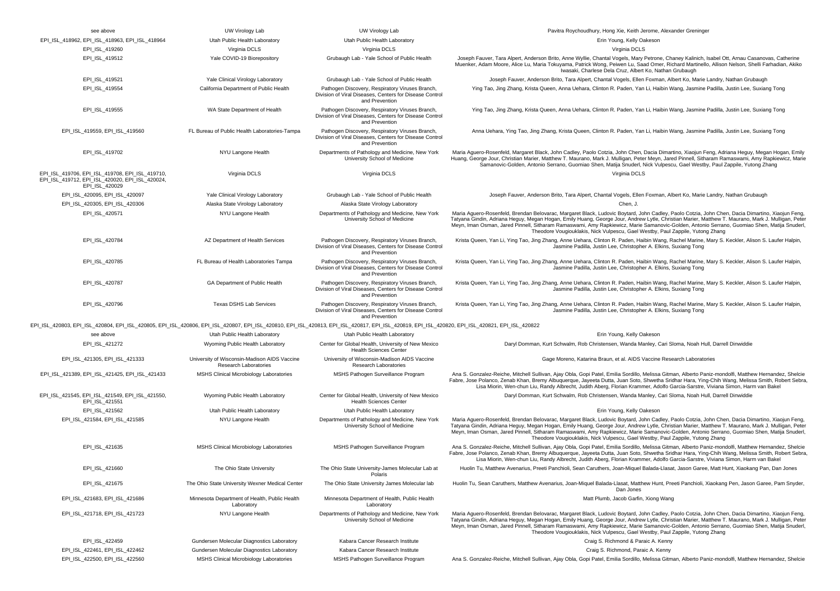| see above                                                                                                                                                                                                      | UW Virology Lab                                                       | UW Virology Lab                                                                                                              | Pavitra Roychoudhury, Hong Xie, Keith Jerome, Alexander Greninger                                                                                                                                                                                                                                                                                                                                                                                                                                                                      |
|----------------------------------------------------------------------------------------------------------------------------------------------------------------------------------------------------------------|-----------------------------------------------------------------------|------------------------------------------------------------------------------------------------------------------------------|----------------------------------------------------------------------------------------------------------------------------------------------------------------------------------------------------------------------------------------------------------------------------------------------------------------------------------------------------------------------------------------------------------------------------------------------------------------------------------------------------------------------------------------|
| EPI_ISL_418962, EPI_ISL_418963, EPI_ISL_418964                                                                                                                                                                 | Utah Public Health Laboratory                                         | Utah Public Health Laboratory                                                                                                | Erin Young, Kelly Oakeson                                                                                                                                                                                                                                                                                                                                                                                                                                                                                                              |
| EPI_ISL_419260                                                                                                                                                                                                 | Virginia DCLS                                                         | Virginia DCLS                                                                                                                | Virginia DCLS                                                                                                                                                                                                                                                                                                                                                                                                                                                                                                                          |
| EPI_ISL_419512                                                                                                                                                                                                 | Yale COVID-19 Biorepository                                           | Grubaugh Lab - Yale School of Public Health                                                                                  | Joseph Fauver, Tara Alpert, Anderson Brito, Anne Wyllie, Chantal Vogels, Mary Petrone, Chaney Kalinich, Isabel Ott, Arnau Casanovas, Catherine<br>Muenker, Adam Moore, Alice Lu, Maria Tokuyama, Patrick Wong, Peiwen Lu, Saad Omer, Richard Martinello, Allison Nelson, Shelli Farhadian, Akiko<br>Iwasaki, Charlese Dela Cruz, Albert Ko, Nathan Grubaugh                                                                                                                                                                            |
| EPI_ISL_419521                                                                                                                                                                                                 | Yale Clinical Virology Laboratory                                     | Grubaugh Lab - Yale School of Public Health                                                                                  | Joseph Fauver, Anderson Brito, Tara Alpert, Chantal Vogels, Ellen Foxman, Albert Ko, Marie Landry, Nathan Grubaugh                                                                                                                                                                                                                                                                                                                                                                                                                     |
| EPI_ISL_419554                                                                                                                                                                                                 | California Department of Public Health                                | Pathogen Discovery, Respiratory Viruses Branch,<br>Division of Viral Diseases, Centers for Disease Control<br>and Prevention | Ying Tao, Jing Zhang, Krista Queen, Anna Uehara, Clinton R. Paden, Yan Li, Haibin Wang, Jasmine Padilla, Justin Lee, Suxiang Tong                                                                                                                                                                                                                                                                                                                                                                                                      |
| EPI_ISL_419555                                                                                                                                                                                                 | WA State Department of Health                                         | Pathogen Discovery, Respiratory Viruses Branch,<br>Division of Viral Diseases, Centers for Disease Control<br>and Prevention | Ying Tao, Jing Zhang, Krista Queen, Anna Uehara, Clinton R. Paden, Yan Li, Haibin Wang, Jasmine Padilla, Justin Lee, Suxiang Tong                                                                                                                                                                                                                                                                                                                                                                                                      |
| EPI_ISL_419559, EPI_ISL_419560                                                                                                                                                                                 | FL Bureau of Public Health Laboratories-Tampa                         | Pathogen Discovery, Respiratory Viruses Branch,<br>Division of Viral Diseases, Centers for Disease Control<br>and Prevention | Anna Uehara, Ying Tao, Jing Zhang, Krista Queen, Clinton R. Paden, Yan Li, Haibin Wang, Jasmine Padilla, Justin Lee, Suxiang Tong                                                                                                                                                                                                                                                                                                                                                                                                      |
| EPI_ISL_419702                                                                                                                                                                                                 | NYU Langone Health                                                    | Departments of Pathology and Medicine, New York<br>University School of Medicine                                             | Maria Aguero-Rosenfeld, Margaret Black, John Cadley, Paolo Cotzia, John Chen, Dacia Dimartino, Xiaojun Feng, Adriana Heguy, Megan Hogan, Emily<br>Huang, George Jour, Christian Marier, Matthew T. Maurano, Mark J. Mulligan, Peter Meyn, Jared Pinnell, Sitharam Ramaswami, Amy Rapkiewicz, Marie<br>Samanovic-Golden, Antonio Serrano, Guomiao Shen, Matija Snuderl, Nick Vulpescu, Gael Westby, Paul Zappile, Yutong Zhang                                                                                                          |
| EPI_ISL_419706, EPI_ISL_419708, EPI_ISL_419710,<br>EPI_ISL_419712, EPI_ISL_420020, EPI_ISL_420024,<br>EPI_ISL_420029                                                                                           | Virginia DCLS                                                         | Virginia DCLS                                                                                                                | Virginia DCLS                                                                                                                                                                                                                                                                                                                                                                                                                                                                                                                          |
| EPI_ISL_420095, EPI_ISL_420097                                                                                                                                                                                 | Yale Clinical Virology Laboratory                                     | Grubaugh Lab - Yale School of Public Health                                                                                  | Joseph Fauver, Anderson Brito, Tara Alpert, Chantal Vogels, Ellen Foxman, Albert Ko, Marie Landry, Nathan Grubaugh                                                                                                                                                                                                                                                                                                                                                                                                                     |
| EPI_ISL_420305, EPI_ISL_420306                                                                                                                                                                                 | Alaska State Virology Laboratory                                      | Alaska State Virology Laboratory                                                                                             | Chen, J.                                                                                                                                                                                                                                                                                                                                                                                                                                                                                                                               |
| EPI_ISL_420571                                                                                                                                                                                                 | NYU Langone Health                                                    | Departments of Pathology and Medicine, New York<br>University School of Medicine                                             | Maria Aguero-Rosenfeld, Brendan Belovarac, Margaret Black, Ludovic Boytard, John Cadley, Paolo Cotzia, John Chen, Dacia Dimartino, Xiaojun Feng,<br>Tatyana Gindin, Adriana Heguy, Megan Hogan, Emily Huang, George Jour, Andrew Lytle, Christian Marier, Matthew T. Maurano, Mark J. Mulligan, Peter<br>Meyn, Iman Osman, Jared Pinnell, Sitharam Ramaswami, Amy Rapkiewicz, Marie Samanovic-Golden, Antonio Serrano, Guomiao Shen, Matija Snuderl,<br>Theodore Vougiouklakis, Nick Vulpescu, Gael Westby, Paul Zappile, Yutong Zhang |
| EPI_ISL_420784                                                                                                                                                                                                 | AZ Department of Health Services                                      | Pathogen Discovery, Respiratory Viruses Branch,<br>Division of Viral Diseases, Centers for Disease Control<br>and Prevention | Krista Queen, Yan Li, Ying Tao, Jing Zhang, Anne Uehara, Clinton R. Paden, Haibin Wang, Rachel Marine, Mary S. Keckler, Alison S. Laufer Halpin,<br>Jasmine Padilla, Justin Lee, Christopher A. Elkins, Suxiang Tong                                                                                                                                                                                                                                                                                                                   |
| EPI ISL 420785                                                                                                                                                                                                 | FL Bureau of Health Laboratories Tampa                                | Pathogen Discovery, Respiratory Viruses Branch,<br>Division of Viral Diseases, Centers for Disease Control<br>and Prevention | Krista Queen, Yan Li, Ying Tao, Jing Zhang, Anne Uehara, Clinton R. Paden, Haibin Wang, Rachel Marine, Mary S. Keckler, Alison S. Laufer Halpin,<br>Jasmine Padilla, Justin Lee, Christopher A, Elkins, Suxiang Tong                                                                                                                                                                                                                                                                                                                   |
| EPI_ISL_420787                                                                                                                                                                                                 | GA Department of Public Health                                        | Pathogen Discovery, Respiratory Viruses Branch,<br>Division of Viral Diseases, Centers for Disease Control<br>and Prevention | Krista Queen, Yan Li, Ying Tao, Jing Zhang, Anne Uehara, Clinton R. Paden, Haibin Wang, Rachel Marine, Mary S. Keckler, Alison S. Laufer Halpin<br>Jasmine Padilla, Justin Lee, Christopher A. Elkins, Suxiang Tong                                                                                                                                                                                                                                                                                                                    |
| EPI_ISL_420796                                                                                                                                                                                                 | Texas DSHS Lab Services                                               | Pathogen Discovery, Respiratory Viruses Branch,<br>Division of Viral Diseases, Centers for Disease Control<br>and Prevention | Krista Queen, Yan Li, Ying Tao, Jing Zhang, Anne Uehara, Clinton R. Paden, Haibin Wang, Rachel Marine, Mary S. Keckler, Alison S. Laufer Halpin,<br>Jasmine Padilla, Justin Lee, Christopher A. Elkins, Suxiang Tong                                                                                                                                                                                                                                                                                                                   |
| EPI_ISL_420803, EPI_ISL_420804, EPI_ISL_420805, EPI_ISL_420806, EPI_ISL_420807, EPI_ISL_420810, EPI_ISL_420813, EPI_ISL_420817, EPI_ISL_420819, EPI_ISL_420820, EPI_ISL_420821, EPI_ISL_420808, EPI_ISL_420822 |                                                                       |                                                                                                                              |                                                                                                                                                                                                                                                                                                                                                                                                                                                                                                                                        |
| see above                                                                                                                                                                                                      | Utah Public Health Laboratory                                         | Utah Public Health Laboratory                                                                                                | Erin Young, Kelly Oakeson                                                                                                                                                                                                                                                                                                                                                                                                                                                                                                              |
| EPI_ISL_421272                                                                                                                                                                                                 | Wyoming Public Health Laboratory                                      | Center for Global Health, University of New Mexico<br><b>Health Sciences Center</b>                                          | Daryl Domman, Kurt Schwalm, Rob Christensen, Wanda Manley, Cari Sloma, Noah Hull, Darrell Dinwiddie                                                                                                                                                                                                                                                                                                                                                                                                                                    |
| EPI_ISL_421305, EPI_ISL_421333                                                                                                                                                                                 | University of Wisconsin-Madison AIDS Vaccine<br>Research Laboratories | University of Wisconsin-Madison AIDS Vaccine<br>Research Laboratories                                                        | Gage Moreno, Katarina Braun, et al. AIDS Vaccine Research Laboratories                                                                                                                                                                                                                                                                                                                                                                                                                                                                 |
| EPI_ISL_421389, EPI_ISL_421425, EPI_ISL_421433                                                                                                                                                                 | MSHS Clinical Microbiology Laboratories                               | MSHS Pathogen Surveillance Program                                                                                           | Ana S. Gonzalez-Reiche, Mitchell Sullivan, Ajay Obla, Gopi Patel, Emilia Sordillo, Melissa Gitman, Alberto Paniz-mondolfi, Matthew Hernandez, Shelcie<br>Fabre, Jose Polanco, Zenab Khan, Bremy Albuquerque, Jayeeta Dutta, Juan Soto, Shwetha Sridhar Hara, Ying-Chih Wang, Melissa Smith, Robert Sebra<br>Lisa Miorin, Wen-chun Liu, Randy Albrecht, Judith Aberg, Florian Krammer, Adolfo Garcia-Sarstre, Viviana Simon, Harm van Bakel                                                                                             |
| EPI_ISL_421545, EPI_ISL_421549, EPI_ISL_421550,<br>EPI ISL 421551                                                                                                                                              | Wyoming Public Health Laboratory                                      | Center for Global Health, University of New Mexico<br><b>Health Sciences Center</b>                                          | Daryl Domman, Kurt Schwalm, Rob Christensen, Wanda Manley, Cari Sloma, Noah Hull, Darrell Dinwiddie                                                                                                                                                                                                                                                                                                                                                                                                                                    |
| EPI_ISL_421562                                                                                                                                                                                                 | Utah Public Health Laboratory                                         | Utah Public Health Laboratory                                                                                                | Erin Young, Kelly Oakeson                                                                                                                                                                                                                                                                                                                                                                                                                                                                                                              |
| EPI ISL 421584, EPI ISL 421585                                                                                                                                                                                 | NYU Langone Health                                                    | Departments of Pathology and Medicine, New York<br>University School of Medicine                                             | Maria Aguero-Rosenfeld, Brendan Belovarac, Margaret Black, Ludovic Boytard, John Cadley, Paolo Cotzia, John Chen, Dacia Dimartino, Xiaojun Feng,<br>Tatyana Gindin, Adriana Heguy, Megan Hogan, Emily Huang, George Jour, Andrew Lytle, Christian Marier, Matthew T. Maurano, Mark J. Mulligan, Peter<br>Meyn, Iman Osman, Jared Pinnell, Sitharam Ramaswami, Amy Rapkiewicz, Marie Samanovic-Golden, Antonio Serrano, Guomiao Shen, Matija Snuderl,<br>Theodore Vougiouklakis, Nick Vulpescu, Gael Westby, Paul Zappile, Yutong Zhang |
| EPI_ISL_421635                                                                                                                                                                                                 | MSHS Clinical Microbiology Laboratories                               | MSHS Pathogen Surveillance Program                                                                                           | Ana S. Gonzalez-Reiche, Mitchell Sullivan, Ajay Obla, Gopi Patel, Emilia Sordillo, Melissa Gitman, Alberto Paniz-mondolfi, Matthew Hernandez, Shelcie<br>Fabre, Jose Polanco, Zenab Khan, Bremy Albuquerque, Jayeeta Dutta, Juan Soto, Shwetha Sridhar Hara, Ying-Chih Wang, Melissa Smith, Robert Sebra<br>Lisa Miorin, Wen-chun Liu, Randy Albrecht, Judith Aberg, Florian Krammer, Adolfo Garcia-Sarstre, Viviana Simon, Harm van Bakel                                                                                             |
| EPI_ISL_421660                                                                                                                                                                                                 | The Ohio State University                                             | The Ohio State University-James Molecular Lab at<br>Polaris                                                                  | Huolin Tu, Matthew Avenarius, Preeti Panchioli, Sean Caruthers, Joan-Miquel Balada-Llasat, Jason Garee, Matt Hunt, Xiaokang Pan, Dan Jones                                                                                                                                                                                                                                                                                                                                                                                             |
| EPI_ISL_421675                                                                                                                                                                                                 | The Ohio State University Wexner Medical Center                       | The Ohio State University James Molecular lab                                                                                | Huolin Tu, Sean Caruthers, Matthew Avenarius, Joan-Miquel Balada-Llasat, Matthew Hunt, Preeti Panchioli, Xiaokang Pen, Jason Garee, Pam Snyder<br>Dan Jones                                                                                                                                                                                                                                                                                                                                                                            |
| EPI_ISL_421683, EPI_ISL_421686                                                                                                                                                                                 | Minnesota Department of Health, Public Health<br>Laboratory           | Minnesota Department of Health, Public Health<br>Laboratory                                                                  | Matt Plumb, Jacob Garfin, Xiong Wang                                                                                                                                                                                                                                                                                                                                                                                                                                                                                                   |
| EPI_ISL_421718, EPI_ISL_421723                                                                                                                                                                                 | NYU Langone Health                                                    | Departments of Pathology and Medicine, New York<br>University School of Medicine                                             | Maria Aquero-Rosenfeld, Brendan Belovarac, Margaret Black, Ludovic Boytard, John Cadley, Paolo Cotzia, John Chen, Dacia Dimartino, Xiaojun Feng,<br>Tatyana Gindin, Adriana Heguy, Megan Hogan, Emily Huang, George Jour, Andrew Lytle, Christian Marier, Matthew T. Maurano, Mark J. Mulligan, Peter<br>Meyn, Iman Osman, Jared Pinnell, Sitharam Ramaswami, Amy Rapkiewicz, Marie Samanovic-Golden, Antonio Serrano, Guomiao Shen, Matija Snuderl,<br>Theodore Vougiouklakis, Nick Vulpescu, Gael Westby, Paul Zappile, Yutong Zhang |
| EPI ISL 422459                                                                                                                                                                                                 | Gundersen Molecular Diagnostics Laboratory                            | Kabara Cancer Research Institute                                                                                             | Craig S. Richmond & Paraic A. Kenny                                                                                                                                                                                                                                                                                                                                                                                                                                                                                                    |
| EPI_ISL_422461, EPI_ISL_422462                                                                                                                                                                                 | Gundersen Molecular Diagnostics Laboratory                            | Kabara Cancer Research Institute                                                                                             | Craig S. Richmond, Paraic A. Kenny                                                                                                                                                                                                                                                                                                                                                                                                                                                                                                     |
| EPI ISL 422500, EPI ISL 422560                                                                                                                                                                                 | MSHS Clinical Microbiology Laboratories                               | MSHS Pathogen Surveillance Program                                                                                           | Ana S. Gonzalez-Reiche, Mitchell Sullivan, Ajay Obla, Gopi Patel, Emilia Sordillo, Melissa Gitman, Alberto Paniz-mondolfi, Matthew Hernandez, Shelcie                                                                                                                                                                                                                                                                                                                                                                                  |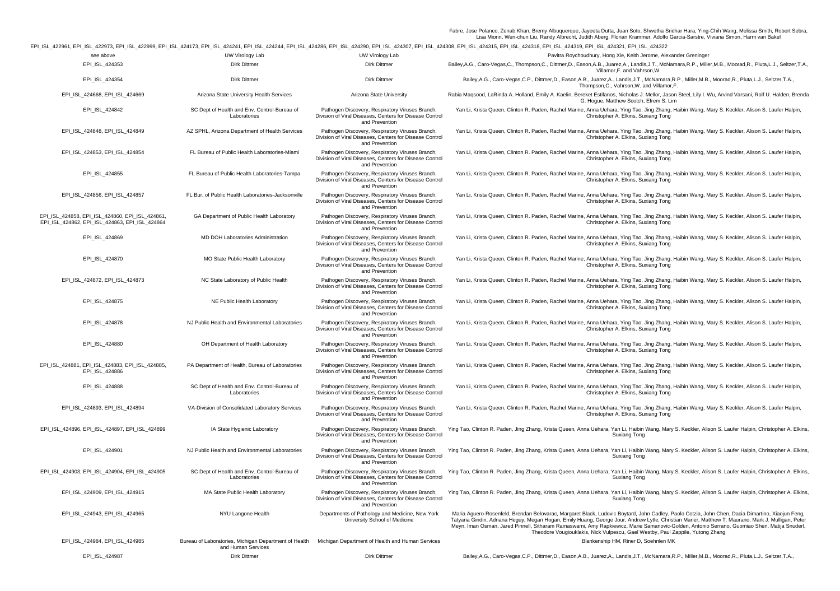Fabre, Jose Polanco, Zenab Khan, Bremy Albuquerque, Jayeeta Dutta, Juan Soto, Shwetha Sridhar Hara, Ying-Chih Wang, Melissa Smith, Robert Sebra,<br>Lisa Miorin, Wen-chun Liu, Randy Albrecht, Judith Aberg, Florian Krammer, Ad

EPI\_ISL\_422961, EPI\_ISL\_422973, EPI\_ISL\_422999, EPI\_ISL\_424173, EPI\_ISL\_424241, EPI\_ISL\_424244, EPI\_ISL\_424286, EPI\_ISL\_424290, EPI\_ISL\_424307, EPI\_ISL\_424308, EPI\_ISL\_424315, EPI\_ISL\_424318, EPI\_ISL\_424319, EPI\_ISL\_424321, EPI\_ISL\_424322

|                                                                                                   |                                                                                                                              |                                                                                                                              | PI_ISL_422961, EPI_ISL_422973, EPI_ISL_422999, EPI_ISL_424173, EPI_ISL_424241, EPI_ISL_424244, EPI_ISL_424286, EPI_ISL_424290, EPI_ISL_424307, EPI_ISL_424308, EPI_ISL_424315, EPI_ISL_424318, EPI_ISL_424319, EPI_ISL_424321,                                                                                                                                                                                                                                                                                                         |
|---------------------------------------------------------------------------------------------------|------------------------------------------------------------------------------------------------------------------------------|------------------------------------------------------------------------------------------------------------------------------|----------------------------------------------------------------------------------------------------------------------------------------------------------------------------------------------------------------------------------------------------------------------------------------------------------------------------------------------------------------------------------------------------------------------------------------------------------------------------------------------------------------------------------------|
| see above                                                                                         | UW Virology Lab                                                                                                              | UW Virology Lab                                                                                                              | Pavitra Roychoudhury, Hong Xie, Keith Jerome, Alexander Greninger                                                                                                                                                                                                                                                                                                                                                                                                                                                                      |
| EPI_ISL_424353                                                                                    | Dirk Dittmer                                                                                                                 | Dirk Dittmer                                                                                                                 | Bailey,A.G., Caro-Vegas,C., Thompson,C., Dittmer,D., Eason,A.B., Juarez,A., Landis,J.T., McNamara,R.P., Miller,M.B., Moorad,R., Pluta,L.J., Seltzer,T.A.,<br>Villamor, F. and Vahrson, W.                                                                                                                                                                                                                                                                                                                                              |
| EPI_ISL_424354                                                                                    | Dirk Dittmer                                                                                                                 | Dirk Dittmer                                                                                                                 | Bailey, A.G., Caro-Vegas, C.P., Dittmer, D., Eason, A.B., Juarez, A., Landis, J.T., McNamara, R.P., Miller, M.B., Moorad, R., Pluta, L.J., Seltzer, T.A.,<br>Thompson, C., Vahrson, W. and Villamor, F.                                                                                                                                                                                                                                                                                                                                |
| EPI_ISL_424668, EPI_ISL_424669                                                                    | Arizona State University Health Services                                                                                     | Arizona State University                                                                                                     | Rabia Maqsood, LaRinda A. Holland, Emily A. Kaelin, Bereket Estifanos, Nicholas J. Mellor, Jason Steel, Lily I. Wu, Arvind Varsani, Rolf U. Halden, Brenda<br>G. Hogue, Matthew Scotch, Efrem S. Lim                                                                                                                                                                                                                                                                                                                                   |
| EPI_ISL_424842                                                                                    | SC Dept of Health and Env. Control-Bureau of<br>Laboratories                                                                 | Pathogen Discovery, Respiratory Viruses Branch,<br>Division of Viral Diseases, Centers for Disease Control<br>and Prevention | Yan Li, Krista Queen, Clinton R. Paden, Rachel Marine, Anna Uehara, Ying Tao, Jing Zhang, Haibin Wang, Mary S. Keckler, Alison S. Laufer Halpin,<br>Christopher A. Elkins, Suxiang Tong                                                                                                                                                                                                                                                                                                                                                |
| EPI_ISL_424848, EPI_ISL_424849                                                                    | AZ SPHL, Arizona Department of Health Services                                                                               | Pathogen Discovery, Respiratory Viruses Branch,<br>Division of Viral Diseases, Centers for Disease Control<br>and Prevention | Yan Li, Krista Queen, Clinton R. Paden, Rachel Marine, Anna Uehara, Ying Tao, Jing Zhang, Haibin Wang, Mary S. Keckler, Alison S. Laufer Halpin,<br>Christopher A. Elkins, Suxiang Tong                                                                                                                                                                                                                                                                                                                                                |
| EPI_ISL_424853, EPI_ISL_424854                                                                    | FL Bureau of Public Health Laboratories-Miami                                                                                | Pathogen Discovery, Respiratory Viruses Branch,<br>Division of Viral Diseases, Centers for Disease Control<br>and Prevention | Yan Li, Krista Queen, Clinton R. Paden, Rachel Marine, Anna Uehara, Ying Tao, Jing Zhang, Haibin Wang, Mary S. Keckler, Alison S. Laufer Halpin,<br>Christopher A. Elkins, Suxiang Tong                                                                                                                                                                                                                                                                                                                                                |
| EPI_ISL_424855                                                                                    | FL Bureau of Public Health Laboratories-Tampa                                                                                | Pathogen Discovery, Respiratory Viruses Branch,<br>Division of Viral Diseases, Centers for Disease Control<br>and Prevention | Yan Li, Krista Queen, Clinton R. Paden, Rachel Marine, Anna Uehara, Ying Tao, Jing Zhang, Haibin Wang, Mary S. Keckler, Alison S. Laufer Halpin,<br>Christopher A. Elkins, Suxiang Tong                                                                                                                                                                                                                                                                                                                                                |
| EPI_ISL_424856, EPI_ISL_424857                                                                    | FL Bur. of Public Health Laboratories-Jacksonville                                                                           | Pathogen Discovery, Respiratory Viruses Branch,<br>Division of Viral Diseases, Centers for Disease Control<br>and Prevention | Yan Li, Krista Queen, Clinton R. Paden, Rachel Marine, Anna Uehara, Ying Tao, Jing Zhang, Haibin Wang, Mary S. Keckler, Alison S. Laufer Halpin,<br>Christopher A. Elkins, Suxiang Tong                                                                                                                                                                                                                                                                                                                                                |
| EPI_ISL_424858, EPI_ISL_424860, EPI_ISL_424861,<br>EPI_ISL_424862, EPI_ISL_424863, EPI_ISL_424864 | GA Department of Public Health Laboratory                                                                                    | Pathogen Discovery, Respiratory Viruses Branch,<br>Division of Viral Diseases, Centers for Disease Control<br>and Prevention | Yan Li, Krista Queen, Clinton R. Paden, Rachel Marine, Anna Uehara, Ying Tao, Jing Zhang, Haibin Wang, Mary S. Keckler, Alison S. Laufer Halpin,<br>Christopher A. Elkins, Suxiang Tong                                                                                                                                                                                                                                                                                                                                                |
| EPI_ISL_424869                                                                                    | MD DOH Laboratories Administration                                                                                           | Pathogen Discovery, Respiratory Viruses Branch,<br>Division of Viral Diseases, Centers for Disease Control<br>and Prevention | Yan Li, Krista Queen, Clinton R. Paden, Rachel Marine, Anna Uehara, Ying Tao, Jing Zhang, Haibin Wang, Mary S. Keckler, Alison S. Laufer Halpin,<br>Christopher A. Elkins, Suxiang Tong                                                                                                                                                                                                                                                                                                                                                |
| EPI_ISL_424870                                                                                    | MO State Public Health Laboratory                                                                                            | Pathogen Discovery, Respiratory Viruses Branch,<br>Division of Viral Diseases, Centers for Disease Control<br>and Prevention | Yan Li, Krista Queen, Clinton R. Paden, Rachel Marine, Anna Uehara, Ying Tao, Jing Zhang, Haibin Wang, Mary S. Keckler, Alison S. Laufer Halpin,<br>Christopher A. Elkins, Suxiang Tong                                                                                                                                                                                                                                                                                                                                                |
| EPI_ISL_424872, EPI_ISL_424873                                                                    | NC State Laboratory of Public Health                                                                                         | Pathogen Discovery, Respiratory Viruses Branch,<br>Division of Viral Diseases, Centers for Disease Control<br>and Prevention | Yan Li, Krista Queen, Clinton R. Paden, Rachel Marine, Anna Uehara, Ying Tao, Jing Zhang, Haibin Wang, Mary S. Keckler, Alison S. Laufer Halpin,<br>Christopher A. Elkins, Suxiang Tong                                                                                                                                                                                                                                                                                                                                                |
| EPI_ISL_424875                                                                                    | NE Public Health Laboratory                                                                                                  | Pathogen Discovery, Respiratory Viruses Branch,<br>Division of Viral Diseases, Centers for Disease Control<br>and Prevention | Yan Li, Krista Queen, Clinton R. Paden, Rachel Marine, Anna Uehara, Ying Tao, Jing Zhang, Haibin Wang, Mary S. Keckler, Alison S. Laufer Halpin,<br>Christopher A. Elkins, Suxiang Tong                                                                                                                                                                                                                                                                                                                                                |
| EPI_ISL_424878                                                                                    | NJ Public Health and Environmental Laboratories                                                                              | Pathogen Discovery, Respiratory Viruses Branch,<br>Division of Viral Diseases, Centers for Disease Control<br>and Prevention | Yan Li, Krista Queen, Clinton R. Paden, Rachel Marine, Anna Uehara, Ying Tao, Jing Zhang, Haibin Wang, Mary S. Keckler, Alison S. Laufer Halpin,<br>Christopher A. Elkins, Suxiang Tong                                                                                                                                                                                                                                                                                                                                                |
| EPI_ISL_424880                                                                                    | OH Department of Health Laboratory                                                                                           | Pathogen Discovery, Respiratory Viruses Branch,<br>Division of Viral Diseases, Centers for Disease Control<br>and Prevention | Yan Li, Krista Queen, Clinton R. Paden, Rachel Marine, Anna Uehara, Ying Tao, Jing Zhang, Haibin Wang, Mary S. Keckler, Alison S. Laufer Halpin,<br>Christopher A. Elkins, Suxiang Tong                                                                                                                                                                                                                                                                                                                                                |
| EPI_ISL_424881, EPI_ISL_424883, EPI_ISL_424885,<br>EPI ISL 424886                                 | PA Department of Health, Bureau of Laboratories                                                                              | Pathogen Discovery, Respiratory Viruses Branch,<br>Division of Viral Diseases, Centers for Disease Control<br>and Prevention | Yan Li, Krista Queen, Clinton R. Paden, Rachel Marine, Anna Uehara, Ying Tao, Jing Zhang, Haibin Wang, Mary S. Keckler, Alison S. Laufer Halpin,<br>Christopher A. Elkins, Suxiang Tong                                                                                                                                                                                                                                                                                                                                                |
| EPI ISL 424888                                                                                    | SC Dept of Health and Env. Control-Bureau of<br>Laboratories                                                                 | Pathogen Discovery, Respiratory Viruses Branch,<br>Division of Viral Diseases, Centers for Disease Control<br>and Prevention | Yan Li, Krista Queen, Clinton R. Paden, Rachel Marine, Anna Uehara, Ying Tao, Jing Zhang, Haibin Wang, Mary S. Keckler, Alison S. Laufer Halpin,<br>Christopher A. Elkins, Suxiang Tong                                                                                                                                                                                                                                                                                                                                                |
| EPI_ISL_424893, EPI_ISL_424894                                                                    | VA-Division of Consolidated Laboratory Services                                                                              | Pathogen Discovery, Respiratory Viruses Branch,<br>Division of Viral Diseases, Centers for Disease Control<br>and Prevention | Yan Li, Krista Queen, Clinton R. Paden, Rachel Marine, Anna Uehara, Ying Tao, Jing Zhang, Haibin Wang, Mary S. Keckler, Alison S. Laufer Halpin,<br>Christopher A. Elkins, Suxiang Tong                                                                                                                                                                                                                                                                                                                                                |
| EPI_ISL_424896, EPI_ISL_424897, EPI_ISL_424899                                                    | IA State Hygienic Laboratory                                                                                                 | Pathogen Discovery, Respiratory Viruses Branch,<br>Division of Viral Diseases, Centers for Disease Control<br>and Prevention | Ying Tao, Clinton R. Paden, Jing Zhang, Krista Queen, Anna Uehara, Yan Li, Haibin Wang, Mary S. Keckler, Alison S. Laufer Halpin, Christopher A. Elkins,<br>Suxiang Tong                                                                                                                                                                                                                                                                                                                                                               |
| EPI ISL 424901                                                                                    | NJ Public Health and Environmental Laboratories                                                                              | Pathogen Discovery, Respiratory Viruses Branch,<br>Division of Viral Diseases, Centers for Disease Control<br>and Prevention | Ying Tao, Clinton R. Paden, Jing Zhang, Krista Queen, Anna Uehara, Yan Li, Haibin Wang, Mary S. Keckler, Alison S. Laufer Halpin, Christopher A. Elkins,<br>Suxiang Tong                                                                                                                                                                                                                                                                                                                                                               |
| EPI_ISL_424903, EPI_ISL_424904, EPI_ISL_424905                                                    | SC Dept of Health and Env. Control-Bureau of<br>Laboratories                                                                 | Pathogen Discovery, Respiratory Viruses Branch,<br>Division of Viral Diseases, Centers for Disease Control<br>and Prevention | Ying Tao, Clinton R. Paden, Jing Zhang, Krista Queen, Anna Uehara, Yan Li, Haibin Wang, Mary S. Keckler, Alison S. Laufer Halpin, Christopher A. Elkins,<br>Suxiang Tong                                                                                                                                                                                                                                                                                                                                                               |
| EPI_ISL_424909, EPI_ISL_424915                                                                    | MA State Public Health Laboratory                                                                                            | Pathogen Discovery, Respiratory Viruses Branch,<br>Division of Viral Diseases, Centers for Disease Control<br>and Prevention | Ying Tao, Clinton R. Paden, Jing Zhang, Krista Queen, Anna Uehara, Yan Li, Haibin Wang, Mary S. Keckler, Alison S. Laufer Halpin, Christopher A. Elkins,<br>Suxiang Tong                                                                                                                                                                                                                                                                                                                                                               |
| EPI_ISL_424943, EPI_ISL_424965                                                                    | NYU Langone Health                                                                                                           | Departments of Pathology and Medicine, New York<br>University School of Medicine                                             | Maria Aguero-Rosenfeld, Brendan Belovarac, Margaret Black, Ludovic Boytard, John Cadley, Paolo Cotzia, John Chen, Dacia Dimartino, Xiaojun Feng,<br>Tatyana Gindin, Adriana Heguy, Megan Hogan, Emily Huang, George Jour, Andrew Lytle, Christian Marier, Matthew T. Maurano, Mark J. Mulligan, Peter<br>Meyn, Iman Osman, Jared Pinnell, Sitharam Ramaswami, Amy Rapkiewicz, Marie Samanovic-Golden, Antonio Serrano, Guomiao Shen, Matija Snuderl,<br>Theodore Vougiouklakis, Nick Vulpescu, Gael Westby, Paul Zappile, Yutong Zhang |
| EPI_ISL_424984, EPI_ISL_424985                                                                    | Bureau of Laboratories, Michigan Department of Health Michigan Department of Health and Human Services<br>and Human Services |                                                                                                                              | Blankenship HM, Riner D, Soehnlen MK                                                                                                                                                                                                                                                                                                                                                                                                                                                                                                   |
| EPI ISL 424987                                                                                    | Dirk Dittmer                                                                                                                 | Dirk Dittmer                                                                                                                 | Bailey,A.G., Caro-Vegas,C.P., Dittmer,D., Eason,A.B., Juarez,A., Landis,J.T., McNamara,R.P., Miller,M.B., Moorad,R., Pluta,L.J., Seltzer,T.A.,                                                                                                                                                                                                                                                                                                                                                                                         |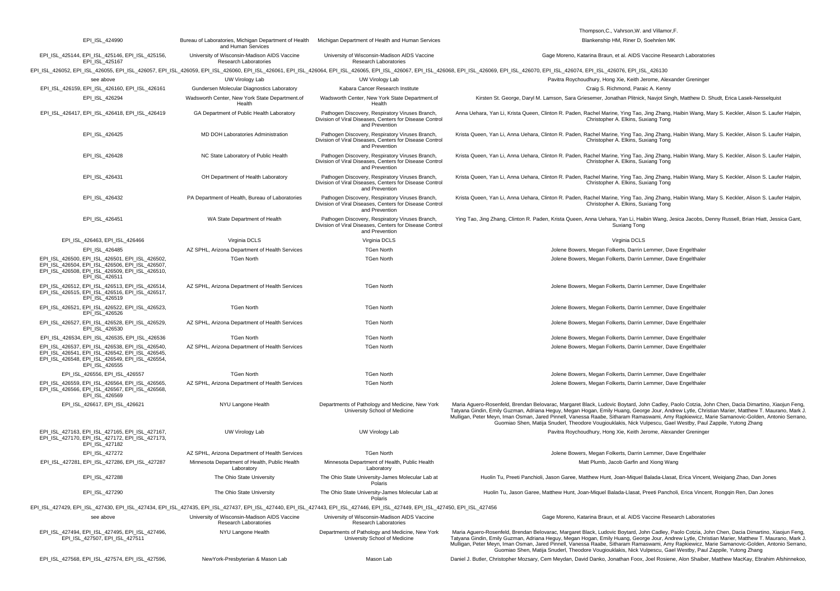|                                                                                                                                                                                |                                                                             |                                                                                                                              | Thompson, C., Vahrson, W. and Villamor, F.                                                                                                                                                                                                                                                                                                                                                                                                                                                                                                                          |
|--------------------------------------------------------------------------------------------------------------------------------------------------------------------------------|-----------------------------------------------------------------------------|------------------------------------------------------------------------------------------------------------------------------|---------------------------------------------------------------------------------------------------------------------------------------------------------------------------------------------------------------------------------------------------------------------------------------------------------------------------------------------------------------------------------------------------------------------------------------------------------------------------------------------------------------------------------------------------------------------|
| EPI_ISL_424990                                                                                                                                                                 | Bureau of Laboratories, Michigan Department of Health<br>and Human Services | Michigan Department of Health and Human Services                                                                             | Blankenship HM, Riner D, Soehnlen MK                                                                                                                                                                                                                                                                                                                                                                                                                                                                                                                                |
| EPI ISL 425144, EPI ISL 425146, EPI ISL 425156,<br>EPI ISL 425167                                                                                                              | University of Wisconsin-Madison AIDS Vaccine<br>Research Laboratories       | University of Wisconsin-Madison AIDS Vaccine<br>Research Laboratories                                                        | Gage Moreno, Katarina Braun, et al. AIDS Vaccine Research Laboratories                                                                                                                                                                                                                                                                                                                                                                                                                                                                                              |
|                                                                                                                                                                                |                                                                             |                                                                                                                              | EPI_ISL_426052, EPI_ISL_426055, EPI_ISL_426057, EPI_ISL_426059, EPI_ISL_426060, EPI_ISL_426061, EPI_ISL_426064, EPI_ISL_426065, EPI_ISL_426067, EPI_ISL_426068, EPI_ISL_426068, EPI_ISL_426076, EPI_ISL_426074, EPI_ISL_426076                                                                                                                                                                                                                                                                                                                                      |
| see above                                                                                                                                                                      | UW Virology Lab                                                             | UW Virology Lab                                                                                                              | Pavitra Roychoudhury, Hong Xie, Keith Jerome, Alexander Greninger                                                                                                                                                                                                                                                                                                                                                                                                                                                                                                   |
| EPI ISL 426159, EPI ISL 426160, EPI ISL 426161                                                                                                                                 | Gundersen Molecular Diagnostics Laboratory                                  | Kabara Cancer Research Institute                                                                                             | Craig S. Richmond, Paraic A. Kenny                                                                                                                                                                                                                                                                                                                                                                                                                                                                                                                                  |
| EPI_ISL_426294                                                                                                                                                                 | Wadsworth Center, New York State Department.of<br>Health                    | Wadsworth Center, New York State Department.of<br>Health                                                                     | Kirsten St. George, Daryl M. Lamson, Sara Griesemer, Jonathan Plitnick, Navjot Singh, Matthew D. Shudt, Erica Lasek-Nesselquist                                                                                                                                                                                                                                                                                                                                                                                                                                     |
| EPI_ISL_426417, EPI_ISL_426418, EPI_ISL_426419                                                                                                                                 | GA Department of Public Health Laboratory                                   | Pathogen Discovery, Respiratory Viruses Branch,<br>Division of Viral Diseases, Centers for Disease Control<br>and Prevention | Anna Uehara, Yan Li, Krista Queen, Clinton R. Paden, Rachel Marine, Ying Tao, Jing Zhang, Haibin Wang, Mary S. Keckler, Alison S. Laufer Halpin,<br>Christopher A. Elkins, Suxiang Tong                                                                                                                                                                                                                                                                                                                                                                             |
| EPI ISL 426425                                                                                                                                                                 | MD DOH Laboratories Administration                                          | Pathogen Discovery, Respiratory Viruses Branch,<br>Division of Viral Diseases, Centers for Disease Control<br>and Prevention | Krista Queen, Yan Li, Anna Uehara, Clinton R. Paden, Rachel Marine, Ying Tao, Jing Zhang, Haibin Wang, Mary S. Keckler, Alison S. Laufer Halpin,<br>Christopher A. Elkins, Suxiang Tong                                                                                                                                                                                                                                                                                                                                                                             |
| EPI_ISL_426428                                                                                                                                                                 | NC State Laboratory of Public Health                                        | Pathogen Discovery, Respiratory Viruses Branch,<br>Division of Viral Diseases, Centers for Disease Control<br>and Prevention | Krista Queen, Yan Li, Anna Uehara, Clinton R. Paden, Rachel Marine, Ying Tao, Jing Zhang, Haibin Wang, Mary S. Keckler, Alison S. Laufer Halpin,<br>Christopher A. Elkins, Suxiang Tong                                                                                                                                                                                                                                                                                                                                                                             |
| EPI_ISL_426431                                                                                                                                                                 | OH Department of Health Laboratory                                          | Pathogen Discovery, Respiratory Viruses Branch,<br>Division of Viral Diseases, Centers for Disease Control<br>and Prevention | Krista Queen, Yan Li, Anna Uehara, Clinton R. Paden, Rachel Marine, Ying Tao, Jing Zhang, Haibin Wang, Mary S. Keckler, Alison S. Laufer Halpin,<br>Christopher A. Elkins, Suxiang Tong                                                                                                                                                                                                                                                                                                                                                                             |
| EPI_ISL_426432                                                                                                                                                                 | PA Department of Health, Bureau of Laboratories                             | Pathogen Discovery, Respiratory Viruses Branch,<br>Division of Viral Diseases, Centers for Disease Control<br>and Prevention | Krista Queen, Yan Li, Anna Uehara, Clinton R. Paden, Rachel Marine, Ying Tao, Jing Zhang, Haibin Wang, Mary S. Keckler, Alison S. Laufer Halpin,<br>Christopher A. Elkins, Suxiang Tong                                                                                                                                                                                                                                                                                                                                                                             |
| EPI_ISL_426451                                                                                                                                                                 | WA State Department of Health                                               | Pathogen Discovery, Respiratory Viruses Branch,<br>Division of Viral Diseases, Centers for Disease Control<br>and Prevention | Ying Tao, Jing Zhang, Clinton R. Paden, Krista Queen, Anna Uehara, Yan Li, Haibin Wang, Jesica Jacobs, Denny Russell, Brian Hiatt, Jessica Gant,<br>Suxiang Tong                                                                                                                                                                                                                                                                                                                                                                                                    |
| EPI_ISL_426463, EPI_ISL_426466                                                                                                                                                 | Virginia DCLS                                                               | Virginia DCLS                                                                                                                | Virginia DCLS                                                                                                                                                                                                                                                                                                                                                                                                                                                                                                                                                       |
| EPI_ISL_426485                                                                                                                                                                 | AZ SPHL, Arizona Department of Health Services                              | <b>TGen North</b>                                                                                                            | Jolene Bowers, Megan Folkerts, Darrin Lemmer, Dave Engelthaler                                                                                                                                                                                                                                                                                                                                                                                                                                                                                                      |
| EPI_ISL_426500, EPI_ISL_426501, EPI_ISL_426502,                                                                                                                                | <b>TGen North</b>                                                           | <b>TGen North</b>                                                                                                            | Jolene Bowers, Megan Folkerts, Darrin Lemmer, Dave Engelthaler                                                                                                                                                                                                                                                                                                                                                                                                                                                                                                      |
| EPI_ISL_426504, EPI_ISL_426506, EPI_ISL_426507,<br>EPI ISL 426508, EPI ISL 426509, EPI ISL 426510.<br>EPI ISL 426511                                                           |                                                                             |                                                                                                                              |                                                                                                                                                                                                                                                                                                                                                                                                                                                                                                                                                                     |
| EPI ISL 426512, EPI ISL 426513, EPI ISL 426514,<br>EPI ISL 426515, EPI ISL 426516, EPI ISL 426517,<br>EPI_ISL_426519                                                           | AZ SPHL, Arizona Department of Health Services                              | <b>TGen North</b>                                                                                                            | Jolene Bowers, Megan Folkerts, Darrin Lemmer, Dave Engelthaler                                                                                                                                                                                                                                                                                                                                                                                                                                                                                                      |
| EPI_ISL_426521, EPI_ISL_426522, EPI_ISL_426523,<br>EPI_ISL_426526                                                                                                              | <b>TGen North</b>                                                           | <b>TGen North</b>                                                                                                            | Jolene Bowers, Megan Folkerts, Darrin Lemmer, Dave Engelthaler                                                                                                                                                                                                                                                                                                                                                                                                                                                                                                      |
| EPI_ISL_426527, EPI_ISL_426528, EPI_ISL_426529,<br>EPI_ISL_426530                                                                                                              | AZ SPHL, Arizona Department of Health Services                              | <b>TGen North</b>                                                                                                            | Jolene Bowers, Megan Folkerts, Darrin Lemmer, Dave Engelthaler                                                                                                                                                                                                                                                                                                                                                                                                                                                                                                      |
| EPI_ISL_426534, EPI_ISL_426535, EPI_ISL_426536                                                                                                                                 | <b>TGen North</b>                                                           | <b>TGen North</b>                                                                                                            | Jolene Bowers, Megan Folkerts, Darrin Lemmer, Dave Engelthaler                                                                                                                                                                                                                                                                                                                                                                                                                                                                                                      |
| EPI_ISL_426537, EPI_ISL_426538, EPI_ISL_426540,<br>EPI_ISL_426541, EPI_ISL_426542, EPI_ISL_426545,<br>EPI_ISL_426548, EPI_ISL_426549, EPI_ISL_426554,<br>EPI_ISL_426555        | AZ SPHL, Arizona Department of Health Services                              | <b>TGen North</b>                                                                                                            | Jolene Bowers, Megan Folkerts, Darrin Lemmer, Dave Engelthaler                                                                                                                                                                                                                                                                                                                                                                                                                                                                                                      |
| EPI_ISL_426556, EPI_ISL_426557                                                                                                                                                 | <b>TGen North</b>                                                           | <b>TGen North</b>                                                                                                            | Jolene Bowers, Megan Folkerts, Darrin Lemmer, Dave Engelthaler                                                                                                                                                                                                                                                                                                                                                                                                                                                                                                      |
| EPI_ISL_426559, EPI_ISL_426564, EPI_ISL_426565,<br>EPI_ISL_426566, EPI_ISL_426567, EPI_ISL_426568,<br>EPI_ISL_426569                                                           | AZ SPHL, Arizona Department of Health Services                              | <b>TGen North</b>                                                                                                            | Jolene Bowers, Megan Folkerts, Darrin Lemmer, Dave Engelthaler                                                                                                                                                                                                                                                                                                                                                                                                                                                                                                      |
| EPI_ISL_426617, EPI_ISL_426621                                                                                                                                                 | NYU Langone Health                                                          | Departments of Pathology and Medicine, New York<br>University School of Medicine                                             | Maria Aguero-Rosenfeld, Brendan Belovarac, Margaret Black, Ludovic Boytard, John Cadley, Paolo Cotzia, John Chen, Dacia Dimartino, Xiaojun Feng,<br>Tatyana Gindin, Emily Guzman, Adriana Heguy, Megan Hogan, Emily Huang, George Jour, Andrew Lytle, Christian Marier, Matthew T. Maurano, Mark J.<br>Mulligan, Peter Meyn, Iman Osman, Jared Pinnell, Vanessa Raabe, Sitharam Ramaswami, Amy Rapkiewicz, Marie Samanovic-Golden, Antonio Serrano,<br>Guomiao Shen, Matija Snuderl, Theodore Vougiouklakis, Nick Vulpescu, Gael Westby, Paul Zappile, Yutong Zhang |
| EPI_ISL_427163, EPI_ISL_427165, EPI_ISL_427167,<br>EPI_ISL_427170, EPI_ISL_427172, EPI_ISL_427173,<br>EPI_ISL_427182                                                           | UW Virology Lab                                                             | UW Virology Lab                                                                                                              | Pavitra Roychoudhury, Hong Xie, Keith Jerome, Alexander Greninger                                                                                                                                                                                                                                                                                                                                                                                                                                                                                                   |
| EPI_ISL_427272                                                                                                                                                                 | AZ SPHL, Arizona Department of Health Services                              | <b>TGen North</b>                                                                                                            | Jolene Bowers, Megan Folkerts, Darrin Lemmer, Dave Engelthaler                                                                                                                                                                                                                                                                                                                                                                                                                                                                                                      |
| EPI_ISL_427281, EPI_ISL_427286, EPI_ISL_427287                                                                                                                                 | Minnesota Department of Health, Public Health<br>Laboratory                 | Minnesota Department of Health, Public Health<br>Laboratory                                                                  | Matt Plumb, Jacob Garfin and Xiong Wang                                                                                                                                                                                                                                                                                                                                                                                                                                                                                                                             |
| EPI_ISL_427288                                                                                                                                                                 | The Ohio State University                                                   | The Ohio State University-James Molecular Lab at<br>Polaris                                                                  | Huolin Tu, Preeti Panchioli, Jason Garee, Matthew Hunt, Joan-Miquel Balada-Llasat, Erica Vincent, Weigiang Zhao, Dan Jones                                                                                                                                                                                                                                                                                                                                                                                                                                          |
| EPI_ISL_427290                                                                                                                                                                 | The Ohio State University                                                   | The Ohio State University-James Molecular Lab at<br>Polaris                                                                  | Huolin Tu, Jason Garee, Matthew Hunt, Joan-Miquel Balada-Llasat, Preeti Pancholi, Erica Vincent, Rongqin Ren, Dan Jones                                                                                                                                                                                                                                                                                                                                                                                                                                             |
| EPI_ISL_427429, EPI_ISL_427430, EPI_ISL_427434, EPI_ISL_427435, EPI_ISL_427437, EPI_ISL_427440, EPI_ISL_427443, EPI_ISL_427446, EPI_ISL_427449, EPI_ISL_427450, EPI_ISL_427456 |                                                                             |                                                                                                                              |                                                                                                                                                                                                                                                                                                                                                                                                                                                                                                                                                                     |
| see above                                                                                                                                                                      | University of Wisconsin-Madison AIDS Vaccine<br>Research Laboratories       | University of Wisconsin-Madison AIDS Vaccine<br>Research Laboratories                                                        | Gage Moreno, Katarina Braun, et al. AIDS Vaccine Research Laboratories                                                                                                                                                                                                                                                                                                                                                                                                                                                                                              |
| EPI_ISL_427494, EPI_ISL_427495, EPI_ISL_427496,<br>EPI ISL 427507, EPI ISL 427511                                                                                              | NYU Langone Health                                                          | Departments of Pathology and Medicine, New York<br>University School of Medicine                                             | Maria Aguero-Rosenfeld, Brendan Belovarac, Margaret Black, Ludovic Boytard, John Cadley, Paolo Cotzia, John Chen, Dacia Dimartino, Xiaojun Feng,<br>Tatyana Gindin, Emily Guzman, Adriana Heguy, Megan Hogan, Emily Huang, George Jour, Andrew Lytle, Christian Marier, Matthew T. Maurano, Mark J.<br>Mulligan, Peter Meyn, Iman Osman, Jared Pinnell, Vanessa Raabe, Sitharam Ramaswami, Amy Rapkiewicz, Marie Samanovic-Golden, Antonio Serrano,<br>Guomiao Shen, Matija Snuderl, Theodore Vougiouklakis, Nick Vulpescu, Gael Westby, Paul Zappile, Yutong Zhang |
| EPI_ISL_427568, EPI_ISL_427574, EPI_ISL_427596,                                                                                                                                | NewYork-Presbyterian & Mason Lab                                            | Mason Lab                                                                                                                    | Daniel J. Butler, Christopher Mozsary, Cem Meydan, David Danko, Jonathan Foox, Joel Rosiene, Alon Shaiber, Matthew MacKay, Ebrahim Afshinnekoo,                                                                                                                                                                                                                                                                                                                                                                                                                     |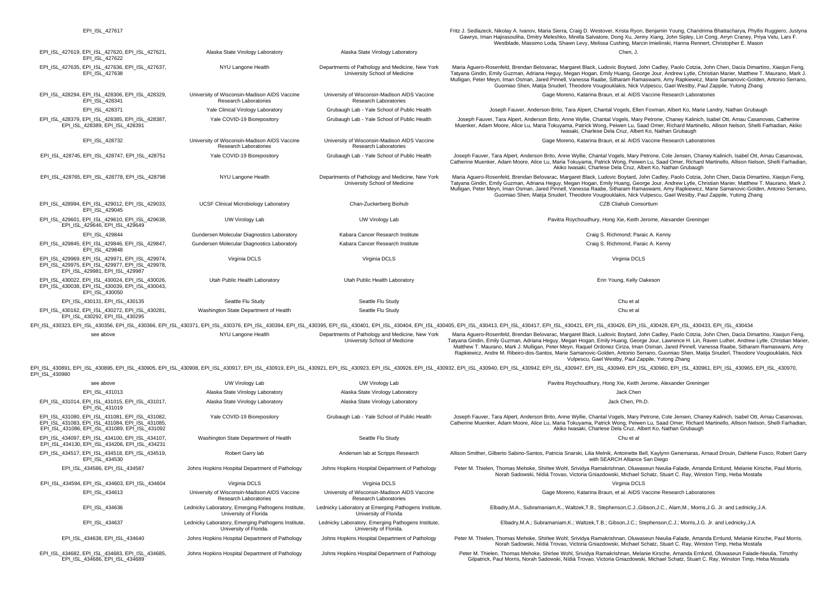EPILISL 427617 Fritz J. Sedlazeck, Nikolay A. Ivanov, Maria Sierra, Craig D. Westover, Krista Ryon, Benjamin Young, Chandrima Bhattacharya, Phyllis Ruggiero, Justyna Gawrys, Iman Hajirasouliha, Dmitry Meleshko, Mirella Salvatore, Dong Xu, Jenny Xiang, John Sipley, Lin Cong, Arryn Craney, Priya Velu, Lars F. Westblade, Massimo Loda, Shawn Levy, Melissa Cushing, Marcin Imielinski, Hanna Rennert, Christopher E. Mason EPI\_ISL\_427619, EPI\_ISL\_427620, EPI\_ISL\_427621, EPI\_ISL\_427622 Alaska State Virology Laboratory Alaska State Virology Laboratory Chen, J. EPI\_ISL\_427635, EPI\_ISL\_427636, EPI\_ISL\_427637, EPI\_ISL\_427638 NYU Langone Health Departments of Pathology and Medicine, New York University School of Medicine Maria Aguero-Rosenfeld, Brendan Belovarac, Margaret Black, Ludovic Boytard, John Cadley, Paolo Cotzia, John Chen, Dacia Dimartino, Xiaojun Feng, Tatyana Gindin, Emily Guzman, Adriana Heguy, Megan Hogan, Emily Huang, George Jour, Andrew Lytle, Christian Marier, Matthew T. Maurano, Mark J. Mulligan, Peter Meyn, Iman Osman, Jared Pinnell, Vanessa Raabe, Sitharam Ramaswami, Amy Rapkiewicz, Marie Samanovic-Golden, Antonio Serrano, Guomiao Shen, Matija Snuderl, Theodore Vougiouklakis, Nick Vulpescu, Gael Westby, Paul Zappile, Yutong Zhang EPI\_ISL\_428294, EPI\_ISL\_428306, EPI\_ISL\_428329, EPI\_ISL\_428341 University of Wisconsin-Madison AIDS Vaccine Research Laboratories University of Wisconsin-Madison AIDS Vaccine Research Laboratories Gage Moreno, Katarina Braun, et al. AIDS Vaccine Research Laboratories EPI\_ISL\_428371 Yale Clinical Virology Laboratory Grubaugh Lab - Yale School of Public Health Joseph Fauver, Anderson Brito, Tara Alpert, Chantal Vogels, Ellen Foxman, Albert Ko, Marie Landry, Nathan Grubaugh EPI\_ISL\_428379, EPI\_ISL\_428385, EPI\_ISL\_428387,  $E = 28389$ , EPI\_ISL\_428391 Yale COVID-19 Biorepository Grubaugh Lab - Yale School of Public Health Joseph Fauver, Tara Alpert, Anderson Brito, Anne Wyllie, Chantal Vogels, Mary Petrone, Chaney Kalinich, Isabel Ott, Arnau Casanovas, Catherine Muenker, Adam Moore, Alice Lu, Maria Tokuyama, Patrick Wong, Peiwen Lu, Saad Omer, Richard Martinello, Allison Nelson, Shelli Farhadian, Akiko Iwasaki, Charlese Dela Cruz, Albert Ko, Nathan Grubaugh EPI\_ISL\_428732 University of Wisconsin-Madison AIDS Vaccine Research Laboratories University of Wisconsin-Madison AIDS Vaccine Research Laboratories Gage Moreno, Katarina Braun, et al. AIDS Vaccine Research Laboratories EPI\_ISL\_428747, EPI\_ISL\_428747, EPI\_ISL\_428751 Yale COVID-19 Biorepository Cubaugh Lab - Yale School of Public Health Joseph Fauver, Tara Alpert, Anderson Brito, Anne Wyllie, Chantal Vogels, Mary Petrone, Cole Jensen, Chan Catherine Muenker, Adam Moore, Alice Lu, Maria Tokuyama, Patrick Wong, Peiwen Lu, Saad Omer, Richard Martinello, Allison Nelson, Shelli Farhadian, Akiko Iwasaki, Charlese Dela Cruz, Albert Ko, Nathan Grubaugh EPI\_ISL\_428765, EPI\_ISL\_428778, EPI\_ISL\_428798 NYU Langone Health Departments of Pathology and Medicine, New York University School of Medicine Maria Aguero-Rosenfeld, Brendan Belovarac, Margaret Black, Ludovic Boytard, John Cadley, Paolo Cotzia, John Chen, Dacia Dimartino, Xiaojun Feng, Tatyana Gindin, Emily Guzman, Adriana Heguy, Megan Hogan, Emily Huang, George Jour, Andrew Lytle, Christian Marier, Matthew T. Maurano, Mark J. Mulligan, Peter Meyn, Iman Osman, Jared Pinnell, Vanessa Raabe, Sitharam Ramaswami, Amy Rapkiewicz, Marie Samanovic-Golden, Antonio Serrano, Guomiao Shen, Matija Snuderl, Theodore Vougiouklakis, Nick Vulpescu, Gael Westby, Paul Zappile, Yutong Zhang EPI\_ISL\_428994, EPI\_ISL\_429012, EPI\_ISL\_429033, EPI\_ISL\_429045 UCSF Clinical Microbiology Laboratory **Chan-Zuckerberg Biohub Consortium** CCB Cliahub Consortium CCB Cliahub Consortium EPI\_ISL\_429601, EPI\_ISL\_429610, EPI\_ISL\_429638, EPI\_ISL\_429646, EPI\_ISL\_429649 UW Virology Lab UW Virology Lab Pavitra Roychoudhury, Hong Xie, Keith Jerome, Alexander Greninger EPI ISL 429844 Gundersen Molecular Diagnostics Laboratory Kabara Cancer Research Institute Craig S. Richmond; Paraic A. Kenny EPI\_ISL\_429845, EPI\_ISL\_429846, EPI\_ISL\_429847, EPI\_ISL\_429848 Gundersen Molecular Diagnostics Laboratory **Kabara Cancer Research Institute** Craig S. Richmond, Paraic A. Kenny EPI\_ISL\_429969, EPI\_ISL\_429971, EPI\_ISL\_429974, EPI\_ISL\_429975, EPI\_ISL\_429977, EPI\_ISL\_429978, EPI\_ISL\_429981, EPI\_ISL\_429987 Virginia DCLS Virginia DCLS Virginia DCLS EPI\_ISL\_430022, EPI\_ISL\_430024, EPI\_ISL\_430026, EPI\_ISL\_430038, EPI\_ISL\_430039, EPI\_ISL\_430043, EPI\_ISL\_430050 Utah Public Health Laboratory Utah Public Health Laboratory Erin Young, Kelly Oakeson EPI\_ISL\_430131, EPI\_ISL\_430135 Chu et al. Seattle Flu Study Seattle Flu Study Seattle Flu Study Seattle Flu Study Chu et al. EPI\_ISL\_430162, EPI\_ISL\_430272, EPI\_ISL\_430281, EPI\_ISL\_430292, EPI\_ISL\_430295 Washington State Department of Health Seattle Flu Study Seattle Flu Study Chu et al. Chu et al. EPI ISL 430323 EPI ISL 430356 EPI ISL 430366 EPI ISL 430371 EPI ISL 430376 EPI ISL 430394 EPI ISL 430395 EPI ISL 430401 EPI ISL 430404 EPI ISL 430404 EPI ISL 430405 EPI ISL 430413 EPI ISL 430417 EPI ISL 430417 EPI ISL 4304 see above **NYU Langone Health** Departments of Pathology and Medicine, New York University School of Medicine Maria Aguero-Rosenfeld, Brendan Belovarac, Margaret Black, Ludovic Boytard, John Cadley, Paolo Cotzia, John Chen, Dacia Dimartino, Xiaojun Feng, Tatyana Gindin, Emily Guzman, Adriana Heguy, Megan Hogan, Emily Huang, George Jour, Lawrence H. Lin, Raven Luther, Andrew Lytle, Christian Marier, Matthew T. Maurano, Mark J. Mulligan, Peter Meyn, Raquel Ordonez Ciriza, Iman Osman, Jared Pinnell, Vanessa Raabe, Sitharam Ramaswami, Amy Rapkiewicz, Andre M. Ribeiro-dos-Santos, Marie Samanovic-Golden, Antonio Serrano, Guomiao Shen, Matija Snuderl, Theodore Vougiouklakis, Nick Vulpescu, Gael Westby, Paul Zappile, Yutong Zhang EPI\_ISL\_430891, EPI\_ISL\_430895, EPI\_ISL\_430905, EPI\_ISL\_430908, EPI\_ISL\_430917, EPI\_ISL\_430919, EPI\_ISL\_430921, EPI\_ISL\_430921, EPI\_ISL\_430921, EPI\_ISL\_430921, EPI\_ISL\_430921, EPI\_ISL\_430942, EPI\_ISL\_430942, EPI\_ISL\_430949 EPI\_ISL\_430980 see above end above UW Virology Lab UW Virology Lab UW Virology Lab Pavitra Roychoudhury, Hong Xie, Keith Jerome, Alexander Greninger EPI\_ISL\_431013 Alaska State Virology Laboratory Alaska State Virology Laboratory Jack Chen EPI\_ISL\_431014, EPI\_ISL\_431015, EPI\_ISL\_431017, EPI\_ISL\_431019 Alaska State Virology Laboratory **Alaska State Virology Laboratory Alaska State Virology Laboratory** Jack Chen, Ph.D. EPI\_ISL\_431080, EPI\_ISL\_431081, EPI\_ISL\_431082, EPI\_ISL\_431083, EPI\_ISL\_431084, EPI\_ISL\_431085, EPI\_ISL\_431086, EPI\_ISL\_431089, EPI\_ISL\_431092 Yale COVID-19 Biorepository **Grubaugh Lab - Yale School of Public Health** Joseph Fauver, Tara Alpert, Anderson Brito, Anne Wyllie, Chantal Vogels, Mary Petrone, Cole Jensen, Chaney Kalinich, Isabel Ott, Arnau Casanovas, Catherine Muenker, Adam Moore, Alice Lu, Maria Tokuyama, Patrick Wong, Peiwen Lu, Saad Omer, Richard Martinello, Allison Nelson, Shelli Farhadian, Akiko Iwasaki, Charlese Dela Cruz, Albert Ko, Nathan Grubaugh EPI\_ISL\_434097, EPI\_ISL\_434100, EPI\_ISL\_434107, EPI\_ISL\_434130, EPI\_ISL\_434206, EPI\_ISL\_434231 Washington State Department of Health Seattle Flu Study Seattle Flu Study Chu et al. Chu et al. EPI\_ISL\_434517, EPI\_ISL\_434518, EPI\_ISL\_434519, EPI\_ISL\_434530 Robert Garry lab Mensen lab at Scripps Research Allison Smither, Gilberto Sabino-Santos, Patricia Snarski, Lilia Melnik, Antoinette Bell, Kaylynn Genemaras, Arnaud Drouin, Dahlene Fusco, Robert Garry with SEARCH Alliance San Diego EPI ISL 434586, EPI ISL 434587 Johns Hopkins Hospital Department of Pathology Johns Hopkins Hospital Department of Pathology Johns Hopkins Hospital Department of Pathology Peter M. Thielen, Thomas Mehoke, Shirlee Wohl, Sri Norah Sadowski, Nídiá Trovao, Victoria Gniazdowski, Michael Schatz, Stuart C. Ray, Winston Timp, Heba Mostafa EPI\_ISL\_434594, EPI\_ISL\_434603, EPI\_ISL\_434604 Virginia DCLS Virginia DCLS Virginia DCLS Virginia DCLS Virginia DCLS EPI\_ISL\_434613 University of Wisconsin-Madison AIDS Vaccine Research Laboratories University of Wisconsin-Madison AIDS Vaccine Research Laboratories Gage Moreno, Katarina Braun, et al. AIDS Vaccine Research Laboratories EPI\_ISL\_434636 Lednicky Laboratory, Emerging Pathogens Institute, University of Florida Lednicky Laboratory at Emerging Pathogens Institute, University of Florida Elbadry,M.A., Subramaniam,K., Waltzek,T.B., Stephenson,C.J.,Gibson,J.C., Alam,M., Morris,J.G. Jr. and Lednicky,J.A. EPI\_ISL\_434637 Lednicky Laboratory, Emerging Pathogens Institute, University of Florida. Lednicky Laboratory, Emerging Pathogens Institute, University of Florida. Elbadry,M.A.; Subramaniam,K.; Waltzek,T.B.; Gibson,J.C.; Stephenson,C.J.; Morris,J.G. Jr. and Lednicky,J.A. EPI ISL 434638, EPI ISL 434640 Johns Hopkins Hospital Department of Pathology Johns Hopkins Hospital Department of Pathology Debartment of Pathology Peter M. Thielen, Thomas Mehoke, Shirlee Wohl, Srividya Ramakrishnan, Olu Norah Sadowski, Nídiá Trovao, Victoria Gniazdowski, Michael Schatz, Stuart C. Ray, Winston Timp, Heba Mostafa EPI\_ISL\_434682, EPI\_ISL\_434683, EPI\_ISL\_434685, EPI\_ISL\_434686, EPI\_ISL\_434689 Johns Hopkins Hospital Department of Pathology Johns Hopkins Hospital Department of Pathology Peter M. Thielen, Thomas Mehoke, Shirlee Wohl, Srividya Ramakrishnan, Melanie Kirsche, Amanda Ernlund, Oluwaseun Falade-Nwulia, Gilpatrick, Paul Morris, Norah Sadowski, Nídiá Trovao, Victoria Gniazdowski, Michael Schatz, Stuart C. Ray, Winston Timp, Heba Mostafa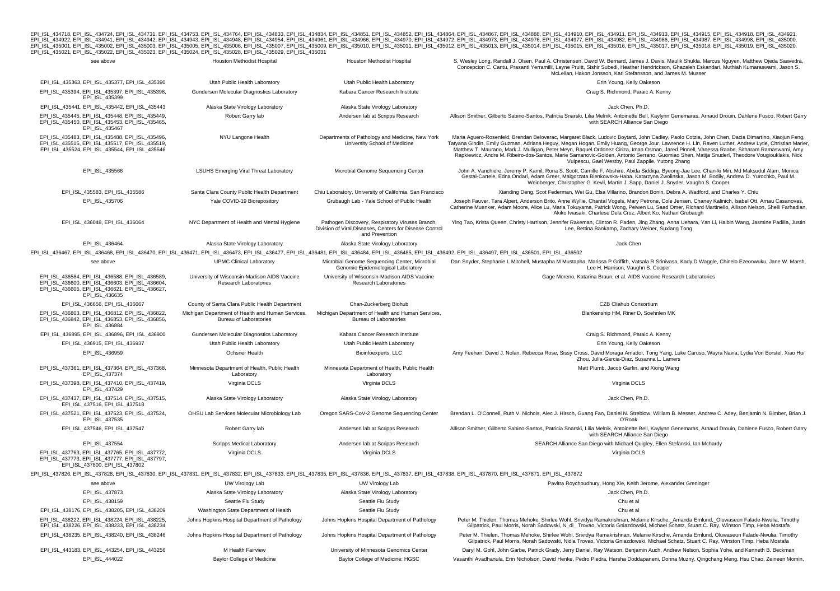EPLISL\_434718, EPLISL\_434724, EPLISL\_434731, EPLISL\_434753, EPLISL\_434764, EPLISL\_434833, EPLISL\_434834, EPLISL\_434854, EPLISL\_434862, EPLISL\_434864, EPLISL\_434867, EPLISL\_434888, EPLISL\_434910, EPLISL\_434911, EPLISL\_43491

| see above                                                                                                                                                                                                                      | Houston Methodist Hospital                                                         | Houston Methodist Hospital                                                                                                   | S. Wesley Long, Randall J. Olsen, Paul A. Christensen, David W. Bernard, James J. Davis, Maulik Shukla, Marcus Nguyen, Matthew Ojeda Saavedra,<br>Concepcion C. Cantu, Prasanti Yerramilli, Layne Pruitt, Sishir Subedi, Heather Hendrickson, Ghazaleh Eskandari, Muthiah Kumaraswami, Jason S.<br>McLellan, Hakon Jonsson, Kari Stefansson, and James M. Musser                                                                                                                                                                                                                                                                                         |
|--------------------------------------------------------------------------------------------------------------------------------------------------------------------------------------------------------------------------------|------------------------------------------------------------------------------------|------------------------------------------------------------------------------------------------------------------------------|----------------------------------------------------------------------------------------------------------------------------------------------------------------------------------------------------------------------------------------------------------------------------------------------------------------------------------------------------------------------------------------------------------------------------------------------------------------------------------------------------------------------------------------------------------------------------------------------------------------------------------------------------------|
| EPI_ISL_435363, EPI_ISL_435377, EPI_ISL_435390                                                                                                                                                                                 | Utah Public Health Laboratory                                                      | Utah Public Health Laboratory                                                                                                | Erin Young, Kelly Oakeson                                                                                                                                                                                                                                                                                                                                                                                                                                                                                                                                                                                                                                |
| EPI ISL 435394, EPI ISL 435397, EPI ISL 435398,<br>EPI_ISL_435399                                                                                                                                                              | Gundersen Molecular Diagnostics Laboratory                                         | Kabara Cancer Research Institute                                                                                             | Craig S. Richmond, Paraic A. Kenny                                                                                                                                                                                                                                                                                                                                                                                                                                                                                                                                                                                                                       |
| EPI_ISL_435441, EPI_ISL_435442, EPI_ISL_435443                                                                                                                                                                                 | Alaska State Virology Laboratory                                                   | Alaska State Virology Laboratory                                                                                             | Jack Chen, Ph.D.                                                                                                                                                                                                                                                                                                                                                                                                                                                                                                                                                                                                                                         |
| EPI ISL 435445, EPI ISL 435448, EPI ISL 435449,<br>EPI_ISL_435450, EPI_ISL_435453, EPI_ISL_435465,<br>EPI ISL 435467                                                                                                           | Robert Garry lab                                                                   | Andersen lab at Scripps Research                                                                                             | Allison Smither, Gilberto Sabino-Santos, Patricia Snarski, Lilia Melnik, Antoinette Bell, Kaylynn Genemaras, Arnaud Drouin, Dahlene Fusco, Robert Garry<br>with SEARCH Alliance San Diego                                                                                                                                                                                                                                                                                                                                                                                                                                                                |
| EPI_ISL_435483, EPI_ISL_435488, EPI_ISL_435496,<br>EPI ISL 435515, EPI ISL 435517, EPI ISL 435519,<br>EPI_ISL_435524, EPI_ISL_435544, EPI_ISL_435546                                                                           | NYU Langone Health                                                                 | Departments of Pathology and Medicine, New York<br>University School of Medicine                                             | Maria Aguero-Rosenfeld, Brendan Belovarac, Margaret Black, Ludovic Boytard, John Cadley, Paolo Cotzia, John Chen, Dacia Dimartino, Xiaojun Feng,<br>Tatyana Gindin, Emily Guzman, Adriana Heguy, Megan Hogan, Emily Huang, George Jour, Lawrence H. Lin, Raven Luther, Andrew Lytle, Christian Marier<br>Matthew T. Maurano, Mark J. Mulligan, Peter Meyn, Raquel Ordonez Ciriza, Iman Osman, Jared Pinnell, Vanessa Raabe, Sitharam Ramaswami, Amy<br>Rapkiewicz, Andre M. Ribeiro-dos-Santos, Marie Samanovic-Golden, Antonio Serrano, Guomiao Shen, Matija Snuderl, Theodore Vougiouklakis, Nick<br>Vulpescu, Gael Westby, Paul Zappile, Yutong Zhang |
| EPI_ISL_435566                                                                                                                                                                                                                 | <b>LSUHS Emerging Viral Threat Laboratory</b>                                      | Microbial Genome Sequencing Center                                                                                           | John A. Vanchiere, Jeremy P. Kamil, Rona S. Scott, Camille F. Abshire, Abida Siddiqa, Byeong-Jae Lee, Chan-ki Min, Md Maksudul Alam, Monica<br>Gestal-Cartele, Edna Ondari, Adam Greer, Malgorzata Bienkowska-Haba, Katarzyna Zwolinska, Jason M. Bodily, Andrew D. Yurochko, Paul M.<br>Weinberger, Christopher G. Kevil, Martin J. Sapp, Daniel J. Snyder, Vaughn S. Cooper                                                                                                                                                                                                                                                                            |
| EPI ISL 435583, EPI ISL 435586                                                                                                                                                                                                 | Santa Clara County Public Health Department                                        | Chiu Laboratory, University of California, San Francisco                                                                     | Xianding Deng, Scot Federman, Wei Gu, Elsa Villarino, Brandon Bonin, Debra A. Wadford, and Charles Y. Chiu                                                                                                                                                                                                                                                                                                                                                                                                                                                                                                                                               |
| EPI_ISL_435706                                                                                                                                                                                                                 | Yale COVID-19 Biorepository                                                        | Grubaugh Lab - Yale School of Public Health                                                                                  | Joseph Fauver, Tara Alpert, Anderson Brito, Anne Wyllie, Chantal Vogels, Mary Petrone, Cole Jensen, Chaney Kalinich, Isabel Ott, Arnau Casanovas,<br>Catherine Muenker, Adam Moore, Alice Lu, Maria Tokuyama, Patrick Wong, Peiwen Lu, Saad Omer, Richard Martinello, Allison Nelson, Shelli Farhadian,<br>Akiko Iwasaki, Charlese Dela Cruz, Albert Ko, Nathan Grubaugh                                                                                                                                                                                                                                                                                 |
| EPI ISL 436048, EPI ISL 436064                                                                                                                                                                                                 | NYC Department of Health and Mental Hygiene                                        | Pathogen Discovery, Respiratory Viruses Branch,<br>Division of Viral Diseases, Centers for Disease Control<br>and Prevention | Ying Tao, Krista Queen, Christy Harrison, Jennifer Rakeman, Clinton R. Paden, Jing Zhang, Anna Uehara, Yan Li, Haibin Wang, Jasmine Padilla, Justin<br>Lee, Bettina Bankamp, Zachary Weiner, Suxiang Tong                                                                                                                                                                                                                                                                                                                                                                                                                                                |
| EPI_ISL_436464                                                                                                                                                                                                                 | Alaska State Virology Laboratory                                                   | Alaska State Virology Laboratory                                                                                             | Jack Chen                                                                                                                                                                                                                                                                                                                                                                                                                                                                                                                                                                                                                                                |
| EPI ISL 436467, EPI ISL 436468, EPI ISL 436470, EPI ISL 436471, EPI ISL 436473, EPI ISL 436477, EPI ISL 436481, EPI ISL 436484, EPI ISL 436485, EPI ISL 436492, EPI ISL 436497, EPI ISL 436497, EPI ISL 436501, EPI ISL 436501 |                                                                                    |                                                                                                                              |                                                                                                                                                                                                                                                                                                                                                                                                                                                                                                                                                                                                                                                          |
| see above                                                                                                                                                                                                                      | <b>UPMC Clinical Laboratory</b>                                                    | Microbial Genome Sequencing Center, Microbial<br>Genomic Epidemiological Laboratory                                          | Dan Snyder, Stephanie L Mitchell, Mustapha M Mustapha, Marissa P Griffith, Vatsala R Srinivasa, Kady D Waggle, Chinelo Ezeonwuku, Jane W. Marsh,<br>Lee H. Harrison, Vaughn S. Cooper                                                                                                                                                                                                                                                                                                                                                                                                                                                                    |
| EPI_ISL_436584, EPI_ISL_436588, EPI_ISL_436589,<br>EPI ISL 436600, EPI ISL 436603, EPI ISL 436604,<br>EPI_ISL_436605, EPI_ISL_436621, EPI_ISL_436627,<br>EPI_ISL_436635                                                        | University of Wisconsin-Madison AIDS Vaccine<br>Research Laboratories              | University of Wisconsin-Madison AIDS Vaccine<br>Research Laboratories                                                        | Gage Moreno, Katarina Braun, et al. AIDS Vaccine Research Laboratories                                                                                                                                                                                                                                                                                                                                                                                                                                                                                                                                                                                   |
| EPI_ISL_436656, EPI_ISL_436667                                                                                                                                                                                                 | County of Santa Clara Public Health Department                                     | Chan-Zuckerberg Biohub                                                                                                       | CZB Cliahub Consortium                                                                                                                                                                                                                                                                                                                                                                                                                                                                                                                                                                                                                                   |
| EPI ISL 436803, EPI ISL 436812, EPI ISL 436822,<br>EPI ISL 436842, EPI ISL 436853, EPI ISL 436856,<br>EPI_ISL_436884                                                                                                           | Michigan Department of Health and Human Services.<br><b>Bureau of Laboratories</b> | Michigan Department of Health and Human Services,<br><b>Bureau of Laboratories</b>                                           | Blankenship HM, Riner D, Soehnlen MK                                                                                                                                                                                                                                                                                                                                                                                                                                                                                                                                                                                                                     |
| EPI ISL 436895, EPI ISL 436896, EPI ISL 436900                                                                                                                                                                                 | Gundersen Molecular Diagnostics Laboratory                                         | Kabara Cancer Research Institute                                                                                             | Craig S. Richmond, Paraic A. Kenny                                                                                                                                                                                                                                                                                                                                                                                                                                                                                                                                                                                                                       |
| EPI_ISL_436915, EPI_ISL_436937                                                                                                                                                                                                 | Utah Public Health Laboratory                                                      | Utah Public Health Laboratory                                                                                                | Erin Young, Kelly Oakeson                                                                                                                                                                                                                                                                                                                                                                                                                                                                                                                                                                                                                                |
| EPI ISL 436959                                                                                                                                                                                                                 | Ochsner Health                                                                     | Bioinfoexperts, LLC                                                                                                          | Amy Feehan, David J. Nolan, Rebecca Rose, Sissy Cross, David Moraga Amador, Tong Yang, Luke Caruso, Wayra Navia, Lydia Von Borstel, Xiao Hui<br>Zhou, Julia-Garcia-Diaz, Susanna L. Lamers                                                                                                                                                                                                                                                                                                                                                                                                                                                               |
| EPI_ISL_437361, EPI_ISL_437364, EPI_ISL_437368,<br>EPI ISL 437374                                                                                                                                                              | Minnesota Department of Health, Public Health<br>Laboratory                        | Minnesota Department of Health, Public Health<br>Laboratory                                                                  | Matt Plumb, Jacob Garfin, and Xiong Wang                                                                                                                                                                                                                                                                                                                                                                                                                                                                                                                                                                                                                 |
| EPI_ISL_437398, EPI_ISL_437410, EPI_ISL_437419,<br>EPI_ISL_437429                                                                                                                                                              | Virginia DCLS                                                                      | Virginia DCLS                                                                                                                | Virginia DCLS                                                                                                                                                                                                                                                                                                                                                                                                                                                                                                                                                                                                                                            |
| EPI ISL 437437, EPI ISL 437514, EPI ISL 437515,<br>EPI_ISL_437516, EPI_ISL_437518                                                                                                                                              | Alaska State Virology Laboratory                                                   | Alaska State Virology Laboratory                                                                                             | Jack Chen, Ph.D                                                                                                                                                                                                                                                                                                                                                                                                                                                                                                                                                                                                                                          |
| EPI ISL 437521, EPI ISL 437523, EPI ISL 437524,<br>EPI_ISL_437535                                                                                                                                                              | OHSU Lab Services Molecular Microbiology Lab                                       | Oregon SARS-CoV-2 Genome Sequencing Center                                                                                   | Brendan L. O'Connell, Ruth V. Nichols, Alec J. Hirsch, Guang Fan, Daniel N. Streblow, William B. Messer, Andrew C. Adey, Benjamin N. Bimber, Brian J.<br>O'Roak                                                                                                                                                                                                                                                                                                                                                                                                                                                                                          |
| EPI_ISL_437546, EPI_ISL_437547                                                                                                                                                                                                 | Robert Garry lab                                                                   | Andersen lab at Scripps Research                                                                                             | Allison Smither, Gilberto Sabino-Santos, Patricia Snarski, Lilia Melnik, Antoinette Bell, Kaylynn Genemaras, Arnaud Drouin, Dahlene Fusco, Robert Garry<br>with SEARCH Alliance San Diego                                                                                                                                                                                                                                                                                                                                                                                                                                                                |
| EPI ISL 437554<br>EPI_ISL_437763, EPI_ISL_437765, EPI_ISL_437772,<br>EPI ISL 437773, EPI ISL 437777, EPI ISL 437797,<br>EPI_ISL_437800, EPI_ISL_437802                                                                         | Scripps Medical Laboratory<br>Virginia DCLS                                        | Andersen lab at Scripps Research<br>Virginia DCLS                                                                            | SEARCH Alliance San Diego with Michael Quigley, Ellen Stefanski, Ian Mchardy<br>Virginia DCLS                                                                                                                                                                                                                                                                                                                                                                                                                                                                                                                                                            |
| EPI_ISL_437826, EPI_ISL_437828, EPI_ISL_437830, EPI_ISL_437831, EPI_ISL_437832, EPI_ISL_437833, EPI_ISL_437835, EPI_ISL_437836, EPI_ISL_437837, EPI_ISL_437838, EPI_ISL_437870, EPI_ISL_437870, EPI_ISL_437871, EPI_ISL_437872 |                                                                                    |                                                                                                                              |                                                                                                                                                                                                                                                                                                                                                                                                                                                                                                                                                                                                                                                          |
| see above                                                                                                                                                                                                                      | UW Virology Lab                                                                    | UW Virology Lab                                                                                                              | Pavitra Roychoudhury, Hong Xie, Keith Jerome, Alexander Greninger                                                                                                                                                                                                                                                                                                                                                                                                                                                                                                                                                                                        |
| EPI ISL 437873                                                                                                                                                                                                                 | Alaska State Virology Laboratory                                                   | Alaska State Virology Laboratory                                                                                             | Jack Chen, Ph.D                                                                                                                                                                                                                                                                                                                                                                                                                                                                                                                                                                                                                                          |
| EPI_ISL_438159                                                                                                                                                                                                                 | Seattle Flu Study                                                                  | Seattle Flu Study                                                                                                            | Chu et al                                                                                                                                                                                                                                                                                                                                                                                                                                                                                                                                                                                                                                                |
| EPI_ISL_438176, EPI_ISL_438205, EPI_ISL_438209                                                                                                                                                                                 | Washington State Department of Health                                              | Seattle Flu Study                                                                                                            | Chu et al                                                                                                                                                                                                                                                                                                                                                                                                                                                                                                                                                                                                                                                |
| EPI ISL 438222, EPI ISL 438224, EPI ISL 438225,<br>EPI_ISL_438226, EPI_ISL_438233, EPI_ISL_438234                                                                                                                              | Johns Hopkins Hospital Department of Pathology                                     | Johns Hopkins Hospital Department of Pathology                                                                               | Peter M. Thielen, Thomas Mehoke, Shirlee Wohl, Srividya Ramakrishnan, Melanie Kirsche, Amanda Ernlund, Oluwaseun Falade-Nwulia, Timothy<br>Gilpatrick, Paul Morris, Norah Sadowski, N_di_ Trovao, Victoria Gniazdowski, Michael Schatz, Stuart C. Ray, Winston Timp, Heba Mostafa                                                                                                                                                                                                                                                                                                                                                                        |
| EPI ISL 438235, EPI ISL 438240, EPI ISL 438246                                                                                                                                                                                 | Johns Hopkins Hospital Department of Pathology                                     | Johns Hopkins Hospital Department of Pathology                                                                               | Peter M. Thielen, Thomas Mehoke, Shirlee Wohl, Srividya Ramakrishnan, Melanie Kirsche, Amanda Ernlund, Oluwaseun Falade-Nwulia, Timothy<br>Gilpatrick, Paul Morris, Norah Sadowski, Nidia Trovao, Victoria Gniazdowski, Michael Schatz, Stuart C. Ray, Winston Timp, Heba Mostafa                                                                                                                                                                                                                                                                                                                                                                        |
| EPI_ISL_443183, EPI_ISL_443254, EPI_ISL_443256                                                                                                                                                                                 | M Health Fairview                                                                  | University of Minnesota Genomics Center                                                                                      | Daryl M. Gohl, John Garbe, Patrick Grady, Jerry Daniel, Ray Watson, Benjamin Auch, Andrew Nelson, Sophia Yohe, and Kenneth B. Beckman                                                                                                                                                                                                                                                                                                                                                                                                                                                                                                                    |
| EPI ISL 444022                                                                                                                                                                                                                 | <b>Baylor College of Medicine</b>                                                  | Baylor College of Medicine: HGSC                                                                                             | Vasanthi Avadhanula, Erin Nicholson, David Henke, Pedro Piedra, Harsha Doddapaneni, Donna Muzny, Qingchang Meng, Hsu Chao, Zeineen Momin,                                                                                                                                                                                                                                                                                                                                                                                                                                                                                                                |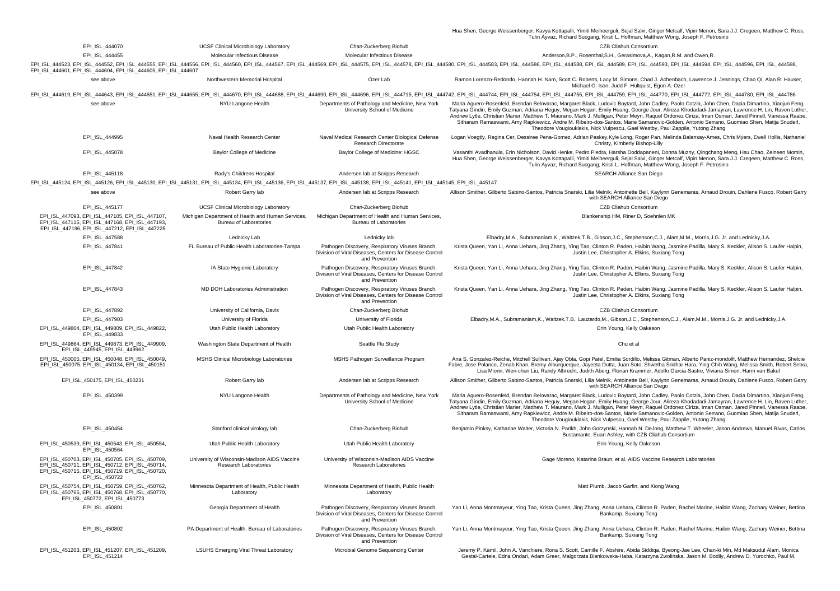Hua Shen, George Weissenberger, Kavya Kottapalli, Yimiti Meiheerguli, Sejal Salvi, Ginger Metcalf, Vipin Menon, Sara J.J. Cregeen, Matthew C. Ross,<br>Tulin Ayvaz, Richard Sucgang, Kristi L. Hoffman, Matthew Wong, Joseph F. P

|                                                                                                                                                                                |                                                                                    |                                                                                                                              | rulin Ayvaz, Richard Sucgang, Kristi L. Honman, Matthew Wong, Joseph F. Petrosing                                                                                                                                                                                                                                                                                                                                                                                                                                                                                                                                                                                                    |
|--------------------------------------------------------------------------------------------------------------------------------------------------------------------------------|------------------------------------------------------------------------------------|------------------------------------------------------------------------------------------------------------------------------|--------------------------------------------------------------------------------------------------------------------------------------------------------------------------------------------------------------------------------------------------------------------------------------------------------------------------------------------------------------------------------------------------------------------------------------------------------------------------------------------------------------------------------------------------------------------------------------------------------------------------------------------------------------------------------------|
| EPI_ISL_444070                                                                                                                                                                 | <b>UCSF Clinical Microbiology Laboratory</b>                                       | Chan-Zuckerberg Biohub                                                                                                       | CZB Cliahub Consortium                                                                                                                                                                                                                                                                                                                                                                                                                                                                                                                                                                                                                                                               |
| EPI_ISL_444455                                                                                                                                                                 | Molecular Infectious Disease                                                       | Molecular Infectious Disease                                                                                                 | Anderson, B.P., Rosenthal, S.H., Gerasimova, A., Kagan, R.M. and Owen, R.                                                                                                                                                                                                                                                                                                                                                                                                                                                                                                                                                                                                            |
| EPI_ISL_444601, EPI_ISL_444604, EPI_ISL_444605, EPI_ISL_444607                                                                                                                 |                                                                                    |                                                                                                                              | EPI_ISL_444523, EPI_ISL_444552, EPI_ISL_444555, EPI_ISL_444556, EPI_ISL_444560, EPI_ISL_444567, EPI_ISL_444569, EPI_ISL_444576, EPI_ISL_444576, EPI_ISL_444580, EPI_ISL_444588, EPI_ISL_444588, EPI_ISL_444589, EPI_ISL_444589                                                                                                                                                                                                                                                                                                                                                                                                                                                       |
| see above                                                                                                                                                                      | Northwestern Memorial Hospital                                                     | Ozer Lab                                                                                                                     | Ramon Lorenzo-Redondo, Hannah H. Nam, Scott C. Roberts, Lacy M. Simons, Chad J. Achenbach, Lawrence J. Jennings, Chao Qi, Alan R. Hauser,<br>Michael G. Ison, Judd F. Hultquist, Egon A. Ozer                                                                                                                                                                                                                                                                                                                                                                                                                                                                                        |
|                                                                                                                                                                                |                                                                                    |                                                                                                                              | EPI_ISL_444619, EPI_ISL_444643, EPI_ISL_444651, EPI_ISL_444655, EPI_ISL_444670, EPI_ISL_444688, EPI_ISL_444688, EPI_ISL_444688, EPI_ISL_444766, EPI_ISL_44475, EPI_ISL_444756, EPI_ISL_444754, EPI_ISL_444754, EPI_ISL_444755,                                                                                                                                                                                                                                                                                                                                                                                                                                                       |
| see above                                                                                                                                                                      | NYU Langone Health                                                                 | Departments of Pathology and Medicine, New York<br>University School of Medicine                                             | Maria Aguero-Rosenfeld, Brendan Belovarac, Margaret Black, Ludovic Boytard, John Cadley, Paolo Cotzia, John Chen, Dacia Dimartino, Xiaojun Feng,<br>Tatyana Gindin, Emily Guzman, Adriana Heguy, Megan Hogan, Emily Huang, George Jour, Alireza Khodadadi-Jamayran, Lawrence H. Lin, Raven Luther<br>Andrew Lytle, Christian Marier, Matthew T. Maurano, Mark J. Mulligan, Peter Meyn, Raquel Ordonez Ciriza, Iman Osman, Jared Pinnell, Vanessa Raabe,<br>Sitharam Ramaswami, Amy Rapkiewicz, Andre M. Ribeiro-dos-Santos, Marie Samanovic-Golden, Antonio Serrano, Guomiao Shen, Matija Snuderl,<br>Theodore Vougiouklakis, Nick Vulpescu, Gael Westby, Paul Zappile, Yutong Zhang |
| EPI_ISL_444995                                                                                                                                                                 | Naval Health Research Center                                                       | Naval Medical Research Center Biological Defense<br>Research Directorate                                                     | Logan Voegtly, Regina Cer, Dessiree Pena-Gomez, Adrian Paskey, Kyle Long, Roger Pan, Melinda Balansay-Ames, Chris Myers, Ewell Hollis, Nathaniel<br>Christy, Kimberly Bishop-Lilly                                                                                                                                                                                                                                                                                                                                                                                                                                                                                                   |
| EPI ISL 445078                                                                                                                                                                 | Baylor College of Medicine                                                         | Baylor College of Medicine: HGSC                                                                                             | Vasanthi Avadhanula, Erin Nicholson, David Henke, Pedro Piedra, Harsha Doddapaneni, Donna Muzny, Qingchang Meng, Hsu Chao, Zeineen Momin,<br>Hua Shen, George Weissenberger, Kavya Kottapalli, Yimiti Meiheerguli, Sejal Salvi, Ginger Metcalf, Vipin Menon, Sara J.J. Cregeen, Matthew C. Ross<br>Tulin Ayvaz, Richard Sucgang, Kristi L. Hoffman, Matthew Wong, Joseph F. Petrosino                                                                                                                                                                                                                                                                                                |
| EPI ISL 445118                                                                                                                                                                 | Rady's Childrens Hospital                                                          | Andersen lab at Scripps Research                                                                                             | SEARCH Alliance San Diego                                                                                                                                                                                                                                                                                                                                                                                                                                                                                                                                                                                                                                                            |
| EPI_ISL_445124, EPI_ISL_445126, EPI_ISL_445130, EPI_ISL_445131, EPI_ISL_445134, EPI_ISL_445136, EPI_ISL_445137, EPI_ISL_445138, EPI_ISL_445147, EPI_ISL_445145, EPI_ISL_445147 |                                                                                    |                                                                                                                              |                                                                                                                                                                                                                                                                                                                                                                                                                                                                                                                                                                                                                                                                                      |
| see above                                                                                                                                                                      | Robert Garry lab                                                                   | Andersen lab at Scripps Research                                                                                             | Allison Smither, Gilberto Sabino-Santos, Patricia Snarski, Lilia Melnik, Antoinette Bell, Kaylynn Genemaras, Arnaud Drouin, Dahlene Fusco, Robert Garry<br>with SEARCH Alliance San Diego                                                                                                                                                                                                                                                                                                                                                                                                                                                                                            |
| EPI_ISL_445177                                                                                                                                                                 | <b>UCSF Clinical Microbiology Laboratory</b>                                       | Chan-Zuckerberg Biohub                                                                                                       | CZB Cliahub Consortium                                                                                                                                                                                                                                                                                                                                                                                                                                                                                                                                                                                                                                                               |
| EPI ISL 447093, EPI ISL 447105, EPI ISL 447107,<br>EPI_ISL_447115, EPI_ISL_447168, EPI_ISL_447193,<br>EPI_ISL_447196, EPI_ISL_447212, EPI_ISL_447228                           | Michigan Department of Health and Human Services,<br><b>Bureau of Laboratories</b> | Michigan Department of Health and Human Services,<br><b>Bureau of Laboratories</b>                                           | Blankenship HM, Riner D, Soehnlen MK                                                                                                                                                                                                                                                                                                                                                                                                                                                                                                                                                                                                                                                 |
| EPI_ISL_447588                                                                                                                                                                 | Lednicky Lab                                                                       | Lednicky lab                                                                                                                 | Elbadry,M.A., Subramaniam,K., Waltzek,T.B., Gibson,J.C., Stephenson,C.J., Alam,M.M., Morris,J.G. Jr. and Lednicky,J.A.                                                                                                                                                                                                                                                                                                                                                                                                                                                                                                                                                               |
| EPI_ISL_447841                                                                                                                                                                 | FL Bureau of Public Health Laboratories-Tampa                                      | Pathogen Discovery, Respiratory Viruses Branch,<br>Division of Viral Diseases, Centers for Disease Control<br>and Prevention | Krista Queen, Yan Li, Anna Uehara, Jing Zhang, Ying Tao, Clinton R. Paden, Haibin Wang, Jasmine Padilla, Mary S. Keckler, Alison S. Laufer Halpin,<br>Justin Lee, Christopher A. Elkins, Suxiang Tong                                                                                                                                                                                                                                                                                                                                                                                                                                                                                |
| EPI_ISL_447842                                                                                                                                                                 | IA State Hygienic Laboratory                                                       | Pathogen Discovery, Respiratory Viruses Branch,<br>Division of Viral Diseases, Centers for Disease Control<br>and Prevention | Krista Queen, Yan Li, Anna Uehara, Jing Zhang, Ying Tao, Clinton R. Paden, Haibin Wang, Jasmine Padilla, Mary S. Keckler, Alison S. Laufer Halpin,<br>Justin Lee, Christopher A. Elkins, Suxiang Tong                                                                                                                                                                                                                                                                                                                                                                                                                                                                                |
| EPI ISL 447843                                                                                                                                                                 | MD DOH Laboratories Administration                                                 | Pathogen Discovery, Respiratory Viruses Branch,<br>Division of Viral Diseases, Centers for Disease Control<br>and Prevention | Krista Queen, Yan Li, Anna Uehara, Jing Zhang, Ying Tao, Clinton R. Paden, Haibin Wang, Jasmine Padilla, Mary S. Keckler, Alison S. Laufer Halpin,<br>Justin Lee, Christopher A. Elkins, Suxiang Tong                                                                                                                                                                                                                                                                                                                                                                                                                                                                                |
| EPI_ISL_447892                                                                                                                                                                 | University of California, Davis                                                    | Chan-Zuckerberg Biohub                                                                                                       | CZB Cliahub Consortium                                                                                                                                                                                                                                                                                                                                                                                                                                                                                                                                                                                                                                                               |
| EPI_ISL_447903                                                                                                                                                                 | University of Florida                                                              | University of Florida                                                                                                        | Elbadry,M.A., Subramaniam,K., Waltzek,T.B., Lauzardo,M., Gibson,J.C., Stephenson,C.J., Alam,M.M., Morris,J.G. Jr. and Lednicky,J.A.                                                                                                                                                                                                                                                                                                                                                                                                                                                                                                                                                  |
| EPI_ISL_449804, EPI_ISL_449809, EPI_ISL_449822,<br>EPI ISL 449833                                                                                                              | Utah Public Health Laboratory                                                      | Utah Public Health Laboratory                                                                                                | Erin Young, Kelly Oakeson                                                                                                                                                                                                                                                                                                                                                                                                                                                                                                                                                                                                                                                            |
| EPI ISL 449864, EPI ISL 449873, EPI ISL 449909,<br>EPI ISL 449945, EPI ISL 449962                                                                                              | Washington State Department of Health                                              | Seattle Flu Study                                                                                                            | Chu et al                                                                                                                                                                                                                                                                                                                                                                                                                                                                                                                                                                                                                                                                            |
| EPI_ISL_450005, EPI_ISL_450048, EPI_ISL_450049,<br>EPI_ISL_450075, EPI_ISL_450134, EPI_ISL_450151                                                                              | MSHS Clinical Microbiology Laboratories                                            | MSHS Pathogen Surveillance Program                                                                                           | Ana S. Gonzalez-Reiche, Mitchell Sullivan, Ajay Obla, Gopi Patel, Emilia Sordillo, Melissa Gitman, Alberto Paniz-mondolfi, Matthew Hernandez, Shelcie<br>Fabre, Jose Polanco, Zenab Khan, Bremy Alburquerque, Jayeeta Dutta, Juan Soto, Shwetha Sridhar Hara, Ying-Chih Wang, Melissa Smith, Robert Sebra,<br>Lisa Miorin, Wen-chun Liu, Randy Albrecht, Judith Aberg, Florian Krammer, Adolfo Garcia-Sastre, Viviana Simon, Harm van Bakel                                                                                                                                                                                                                                          |
| EPI_ISL_450175, EPI_ISL_450231                                                                                                                                                 | Robert Garry lab                                                                   | Andersen lab at Scripps Research                                                                                             | Allison Smither, Gilberto Sabino-Santos, Patricia Snarski, Lilia Melnik, Antoinette Bell, Kaylynn Genemaras, Arnaud Drouin, Dahlene Fusco, Robert Garry<br>with SEARCH Alliance San Diego                                                                                                                                                                                                                                                                                                                                                                                                                                                                                            |
| EPI ISL 450399                                                                                                                                                                 | NYU Langone Health                                                                 | Departments of Pathology and Medicine, New York<br>University School of Medicine                                             | Maria Aguero-Rosenfeld, Brendan Belovarac, Margaret Black, Ludovic Boytard, John Cadley, Paolo Cotzia, John Chen, Dacia Dimartino, Xiaojun Feng,<br>Tatyana Gindin, Emily Guzman, Adriana Heguy, Megan Hogan, Emily Huang, George Jour, Alireza Khodadadi-Jamayran, Lawrence H. Lin, Raven Luther<br>Andrew Lytle, Christian Marier, Matthew T. Maurano, Mark J. Mulligan, Peter Meyn, Raquel Ordonez Ciriza, Iman Osman, Jared Pinnell, Vanessa Raabe,<br>Sitharam Ramaswami, Amy Rapkiewicz, Andre M. Ribeiro-dos-Santos, Marie Samanovic-Golden, Antonio Serrano, Guomiao Shen, Matija Snuderl,<br>Theodore Vougiouklakis, Nick Vulpescu, Gael Westby, Paul Zappile, Yutong Zhang |
| EPI_ISL_450454                                                                                                                                                                 | Stanford clinical virology lab                                                     | Chan-Zuckerberg Biohub                                                                                                       | Benjamin Pinksy, Katharine Walter, Victoria N. Parikh, John Gorzynski, Hannah N. DeJong, Matthew T. Wheeler, Jason Andrews, Manuel Rivas, Carlos<br>Bustamante, Euan Ashley, with CZB Cliahub Consortium                                                                                                                                                                                                                                                                                                                                                                                                                                                                             |
| EPI_ISL_450539, EPI_ISL_450543, EPI_ISL_450554,<br>EPI_ISL_450564                                                                                                              | Utah Public Health Laboratory                                                      | Utah Public Health Laboratory                                                                                                | Erin Young, Kelly Oakeson                                                                                                                                                                                                                                                                                                                                                                                                                                                                                                                                                                                                                                                            |
| EPI_ISL_450703, EPI_ISL_450705, EPI_ISL_450709,<br>EPI_ISL_450711, EPI_ISL_450712, EPI_ISL_450714,<br>EPI ISL 450715, EPI ISL 450719, EPI ISL 450720,<br>EPI_ISL_450722        | University of Wisconsin-Madison AIDS Vaccine<br><b>Research Laboratories</b>       | University of Wisconsin-Madison AIDS Vaccine<br><b>Research Laboratories</b>                                                 | Gage Moreno, Katarina Braun, et al. AIDS Vaccine Research Laboratories                                                                                                                                                                                                                                                                                                                                                                                                                                                                                                                                                                                                               |
| EPI_ISL_450754, EPI_ISL_450759, EPI_ISL_450762,<br>EPI ISL 450765, EPI ISL 450768, EPI ISL 450770,<br>EPI ISL 450772, EPI ISL 450773                                           | Minnesota Department of Health, Public Health<br>Laboratory                        | Minnesota Department of Health, Public Health<br>Laboratory                                                                  | Matt Plumb, Jacob Garfin, and Xiong Wang                                                                                                                                                                                                                                                                                                                                                                                                                                                                                                                                                                                                                                             |
| EPI_ISL_450801                                                                                                                                                                 | Georgia Department of Health                                                       | Pathogen Discovery, Respiratory Viruses Branch,<br>Division of Viral Diseases, Centers for Disease Control<br>and Prevention | Yan Li, Anna Montmayeur, Ying Tao, Krista Queen, Jing Zhang, Anna Uehara, Clinton R. Paden, Rachel Marine, Haibin Wang, Zachary Weiner, Bettina<br>Bankamp, Suxiang Tong                                                                                                                                                                                                                                                                                                                                                                                                                                                                                                             |
| EPI ISL 450802                                                                                                                                                                 | PA Department of Health, Bureau of Laboratories                                    | Pathogen Discovery, Respiratory Viruses Branch,<br>Division of Viral Diseases, Centers for Disease Control<br>and Prevention | Yan Li, Anna Montmayeur, Ying Tao, Krista Queen, Jing Zhang, Anna Uehara, Clinton R. Paden, Rachel Marine, Haibin Wang, Zachary Weiner, Bettina<br>Bankamp, Suxiang Tong                                                                                                                                                                                                                                                                                                                                                                                                                                                                                                             |
| EPI ISL 451203, EPI ISL 451207, EPI ISL 451209,<br>EPI ISL 451214                                                                                                              | <b>LSUHS Emerging Viral Threat Laboratory</b>                                      | Microbial Genome Sequencing Center                                                                                           | Jeremy P. Kamil, John A. Vanchiere, Rona S. Scott, Camille F. Abshire, Abida Siddiqa, Byeong-Jae Lee, Chan-ki Min, Md Maksudul Alam, Monica<br>Gestal-Cartele, Edna Ondari, Adam Greer, Malgorzata Bienkowska-Haba, Katarzyna Zwolinska, Jason M. Bodily, Andrew D. Yurochko, Paul M.                                                                                                                                                                                                                                                                                                                                                                                                |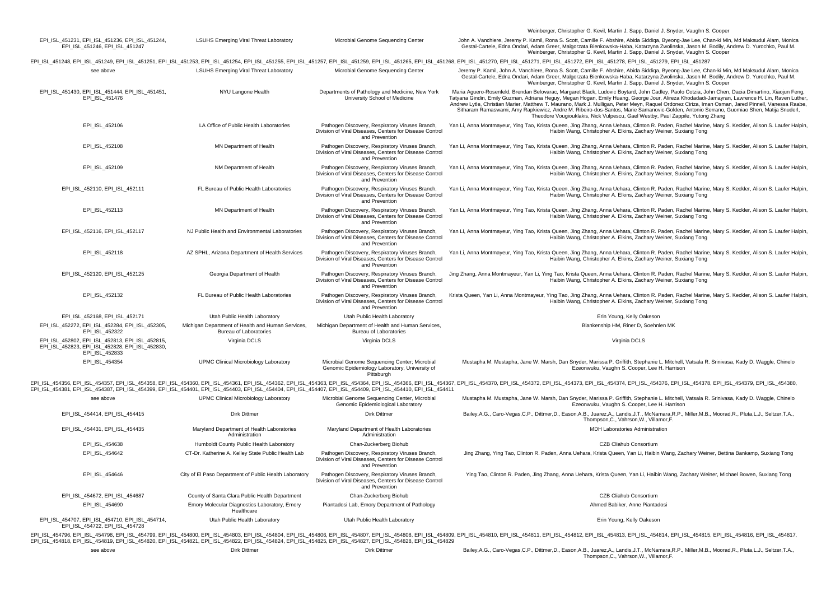|                                                                                                                                                                                |                                                                                    |                                                                                                                              | Weinberger, Christopher G. Kevil, Martin J. Sapp, Daniel J. Snyder, Vaughn S. Cooper                                                                                                                                                                                                                                                                                                                                                                                                                                                                                                                                                                                                  |
|--------------------------------------------------------------------------------------------------------------------------------------------------------------------------------|------------------------------------------------------------------------------------|------------------------------------------------------------------------------------------------------------------------------|---------------------------------------------------------------------------------------------------------------------------------------------------------------------------------------------------------------------------------------------------------------------------------------------------------------------------------------------------------------------------------------------------------------------------------------------------------------------------------------------------------------------------------------------------------------------------------------------------------------------------------------------------------------------------------------|
| EPI_ISL_451231, EPI_ISL_451236, EPI_ISL_451244,<br>EPI ISL 451246, EPI ISL 451247                                                                                              | <b>LSUHS Emerging Viral Threat Laboratory</b>                                      | Microbial Genome Sequencing Center                                                                                           | John A. Vanchiere, Jeremy P. Kamil, Rona S. Scott, Camille F. Abshire, Abida Siddiqa, Byeong-Jae Lee, Chan-ki Min, Md Maksudul Alam, Monica<br>Gestal-Cartele, Edna Ondari, Adam Greer, Malgorzata Bienkowska-Haba, Katarzyna Zwolinska, Jason M. Bodily, Andrew D. Yurochko, Paul M.<br>Weinberger, Christopher G. Kevil, Martin J. Sapp, Daniel J. Snyder, Vaughn S. Cooper                                                                                                                                                                                                                                                                                                         |
|                                                                                                                                                                                |                                                                                    |                                                                                                                              | EPI_ISL_451248, EPI_ISL_451249, EPI_ISL_451251, EPI_ISL_451253, EPI_ISL_451254, EPI_ISL_451255, EPI_ISL_451257, EPI_ISL_451259, EPI_ISL_451259, EPI_ISL_451265, EPI_ISL_451268, EPI_ISL_451270, EPI_ISL_451277, EPI_ISL_451270                                                                                                                                                                                                                                                                                                                                                                                                                                                        |
| see above                                                                                                                                                                      | <b>LSUHS Emerging Viral Threat Laboratory</b>                                      | Microbial Genome Sequencing Center                                                                                           | Jeremy P. Kamil, John A. Vanchiere, Rona S. Scott, Camille F. Abshire, Abida Siddiqa, Byeong-Jae Lee, Chan-ki Min, Md Maksudul Alam, Monica<br>Gestal-Cartele, Edna Ondari, Adam Greer, Malgorzata Bienkowska-Haba, Katarzyna Zwolinska, Jason M. Bodily, Andrew D. Yurochko, Paul M.<br>Weinberger, Christopher G. Kevil, Martin J. Sapp, Daniel J. Snyder, Vaughn S. Cooper                                                                                                                                                                                                                                                                                                         |
| EPI ISL 451430, EPI ISL 451444, EPI ISL 451451,<br>EPI_ISL_451476                                                                                                              | NYU Langone Health                                                                 | Departments of Pathology and Medicine, New York<br>University School of Medicine                                             | Maria Aguero-Rosenfeld, Brendan Belovarac, Margaret Black, Ludovic Boytard, John Cadley, Paolo Cotzia, John Chen, Dacia Dimartino, Xiaojun Feng,<br>Tatyana Gindin, Emily Guzman, Adriana Heguy, Megan Hogan, Emily Huang, George Jour, Alireza Khodadadi-Jamayran, Lawrence H. Lin, Raven Luther,<br>Andrew Lytle, Christian Marier, Matthew T. Maurano, Mark J. Mulligan, Peter Meyn, Raquel Ordonez Ciriza, Iman Osman, Jared Pinnell, Vanessa Raabe,<br>Sitharam Ramaswami, Amy Rapkiewicz, Andre M. Ribeiro-dos-Santos, Marie Samanovic-Golden, Antonio Serrano, Guomiao Shen, Matija Snuderl,<br>Theodore Vougiouklakis, Nick Vulpescu, Gael Westby, Paul Zappile, Yutong Zhang |
| EPI ISL 452106                                                                                                                                                                 | LA Office of Public Health Laboratories                                            | Pathogen Discovery, Respiratory Viruses Branch,<br>Division of Viral Diseases, Centers for Disease Control<br>and Prevention | Yan Li, Anna Montmayeur, Ying Tao, Krista Queen, Jing Zhang, Anna Uehara, Clinton R. Paden, Rachel Marine, Mary S. Keckler, Alison S. Laufer Halpin,<br>Haibin Wang, Christopher A. Elkins, Zachary Weiner, Suxiang Tong                                                                                                                                                                                                                                                                                                                                                                                                                                                              |
| EPI_ISL_452108                                                                                                                                                                 | MN Department of Health                                                            | Pathogen Discovery, Respiratory Viruses Branch,<br>Division of Viral Diseases, Centers for Disease Control<br>and Prevention | Yan Li, Anna Montmayeur, Ying Tao, Krista Queen, Jing Zhang, Anna Uehara, Clinton R. Paden, Rachel Marine, Mary S. Keckler, Alison S. Laufer Halpin,<br>Haibin Wang, Christopher A. Elkins, Zachary Weiner, Suxiang Tong                                                                                                                                                                                                                                                                                                                                                                                                                                                              |
| EPI ISL 452109                                                                                                                                                                 | NM Department of Health                                                            | Pathogen Discovery, Respiratory Viruses Branch,<br>Division of Viral Diseases, Centers for Disease Control<br>and Prevention | Yan Li, Anna Montmayeur, Ying Tao, Krista Queen, Jing Zhang, Anna Uehara, Clinton R. Paden, Rachel Marine, Mary S. Keckler, Alison S. Laufer Halpin,<br>Haibin Wang, Christopher A. Elkins, Zachary Weiner, Suxiang Tong                                                                                                                                                                                                                                                                                                                                                                                                                                                              |
| EPI_ISL_452110, EPI_ISL_452111                                                                                                                                                 | FL Bureau of Public Health Laboratories                                            | Pathogen Discovery, Respiratory Viruses Branch,<br>Division of Viral Diseases, Centers for Disease Control<br>and Prevention | Yan Li, Anna Montmayeur, Ying Tao, Krista Queen, Jing Zhang, Anna Uehara, Clinton R. Paden, Rachel Marine, Mary S. Keckler, Alison S. Laufer Halpin,<br>Haibin Wang, Christopher A. Elkins, Zachary Weiner, Suxiang Tong                                                                                                                                                                                                                                                                                                                                                                                                                                                              |
| EPI_ISL_452113                                                                                                                                                                 | MN Department of Health                                                            | Pathogen Discovery, Respiratory Viruses Branch,<br>Division of Viral Diseases, Centers for Disease Control<br>and Prevention | Yan Li, Anna Montmayeur, Ying Tao, Krista Queen, Jing Zhang, Anna Uehara, Clinton R. Paden, Rachel Marine, Mary S. Keckler, Alison S. Laufer Halpin,<br>Haibin Wang, Christopher A. Elkins, Zachary Weiner, Suxiang Tong                                                                                                                                                                                                                                                                                                                                                                                                                                                              |
| EPI ISL 452116, EPI ISL 452117                                                                                                                                                 | NJ Public Health and Environmental Laboratories                                    | Pathogen Discovery, Respiratory Viruses Branch,<br>Division of Viral Diseases, Centers for Disease Control<br>and Prevention | Yan Li, Anna Montmayeur, Ying Tao, Krista Queen, Jing Zhang, Anna Uehara, Clinton R. Paden, Rachel Marine, Mary S. Keckler, Alison S. Laufer Halpin,<br>Haibin Wang, Christopher A. Elkins, Zachary Weiner, Suxiang Tong                                                                                                                                                                                                                                                                                                                                                                                                                                                              |
| EPI_ISL_452118                                                                                                                                                                 | AZ SPHL, Arizona Department of Health Services                                     | Pathogen Discovery, Respiratory Viruses Branch,<br>Division of Viral Diseases, Centers for Disease Control<br>and Prevention | Yan Li, Anna Montmayeur, Ying Tao, Krista Queen, Jing Zhang, Anna Uehara, Clinton R. Paden, Rachel Marine, Mary S. Keckler, Alison S. Laufer Halpin,<br>Haibin Wang, Christopher A. Elkins, Zachary Weiner, Suxiang Tong                                                                                                                                                                                                                                                                                                                                                                                                                                                              |
| EPI_ISL_452120, EPI_ISL_452125                                                                                                                                                 | Georgia Department of Health                                                       | Pathogen Discovery, Respiratory Viruses Branch,<br>Division of Viral Diseases, Centers for Disease Control<br>and Prevention | Jing Zhang, Anna Montmayeur, Yan Li, Ying Tao, Krista Queen, Anna Uehara, Clinton R. Paden, Rachel Marine, Mary S. Keckler, Alison S. Laufer Halpin,<br>Haibin Wang, Christopher A. Elkins, Zachary Weiner, Suxiang Tong                                                                                                                                                                                                                                                                                                                                                                                                                                                              |
| EPI ISL 452132                                                                                                                                                                 | FL Bureau of Public Health Laboratories                                            | Pathogen Discovery, Respiratory Viruses Branch,<br>Division of Viral Diseases, Centers for Disease Control<br>and Prevention | Krista Queen, Yan Li, Anna Montmayeur, Ying Tao, Jing Zhang, Anna Uehara, Clinton R. Paden, Rachel Marine, Mary S. Keckler, Alison S. Laufer Halpin,<br>Haibin Wang, Christopher A. Elkins, Zachary Weiner, Suxiang Tong                                                                                                                                                                                                                                                                                                                                                                                                                                                              |
| EPI ISL 452168, EPI ISL 452171                                                                                                                                                 | Utah Public Health Laboratory                                                      | Utah Public Health Laboratory                                                                                                | Erin Young, Kelly Oakeson                                                                                                                                                                                                                                                                                                                                                                                                                                                                                                                                                                                                                                                             |
| EPI_ISL_452272, EPI_ISL_452284, EPI_ISL_452305,<br>EPI ISL 452322                                                                                                              | Michigan Department of Health and Human Services,<br><b>Bureau of Laboratories</b> | Michigan Department of Health and Human Services,<br><b>Bureau of Laboratories</b>                                           | Blankenship HM, Riner D, Soehnlen MK                                                                                                                                                                                                                                                                                                                                                                                                                                                                                                                                                                                                                                                  |
| EPI_ISL_452802, EPI_ISL_452813, EPI_ISL_452815,<br>EPI_ISL_452823, EPI_ISL_452828, EPI_ISL_452830,<br>EPI_ISL_452833                                                           | Virginia DCLS                                                                      | Virginia DCLS                                                                                                                | Virginia DCLS                                                                                                                                                                                                                                                                                                                                                                                                                                                                                                                                                                                                                                                                         |
| EPI_ISL_454354                                                                                                                                                                 | <b>UPMC Clinical Microbiology Laboratory</b>                                       | Microbial Genome Sequencing Center; Microbial<br>Genomic Epidemiology Laboratory, University of<br>Pittsburgh                | Mustapha M. Mustapha, Jane W. Marsh, Dan Snyder, Marissa P. Griffith, Stephanie L. Mitchell, Vatsala R. Srinivasa, Kady D. Waggle, Chinelo<br>Ezeonwuku, Vaughn S. Cooper, Lee H. Harrison                                                                                                                                                                                                                                                                                                                                                                                                                                                                                            |
| EPI_ISL_454381, EPI_ISL_454387, EPI_ISL_454399, EPI_ISL_454401, EPI_ISL_454403, EPI_ISL_454404, EPI_ISL_454407, EPI_ISL_454409, EPI_ISL_454410, EPI_ISL_454410, EPI_ISL_454411 |                                                                                    |                                                                                                                              | EPI_ISL_454356, EPI_ISL_454357, EPI_ISL_454358, EPI_ISL_454360, EPI_ISL_454361, EPI_ISL_454362, EPI_ISL_454363, EPI_ISL_454363, EPI_ISL_454363, EPI_ISL_454363, EPI_ISL_454364, EPI_ISL_454366, EPI_ISL_454367, EPI_ISL_454370                                                                                                                                                                                                                                                                                                                                                                                                                                                        |
| see above                                                                                                                                                                      | UPMC Clinical Microbiology Laboratory                                              | Microbial Genome Sequencing Center, Microbial<br>Genomic Epidemiological Laboratory                                          | Mustapha M. Mustapha, Jane W. Marsh, Dan Snyder, Marissa P. Griffith, Stephanie L. Mitchell, Vatsala R. Srinivasa, Kady D. Waggle, Chinelo<br>Ezeonwuku, Vaughn S. Cooper, Lee H. Harrison                                                                                                                                                                                                                                                                                                                                                                                                                                                                                            |
| EPI_ISL_454414, EPI_ISL_454415                                                                                                                                                 | Dirk Dittmer                                                                       | Dirk Dittmer                                                                                                                 | Bailey, A.G., Caro-Vegas, C.P., Dittmer, D., Eason, A.B., Juarez, A., Landis, J.T., McNamara, R.P., Miller, M.B., Moorad, R., Pluta, L.J., Seltzer, T.A.,<br>Thompson, C., Vahrson, W., Villamor, F.                                                                                                                                                                                                                                                                                                                                                                                                                                                                                  |
| EPI_ISL_454431, EPI_ISL_454435                                                                                                                                                 | Maryland Department of Health Laboratories<br>Administration                       | Maryland Department of Health Laboratories<br>Administration                                                                 | MDH Laboratories Administration                                                                                                                                                                                                                                                                                                                                                                                                                                                                                                                                                                                                                                                       |
| EPI_ISL_454638                                                                                                                                                                 | Humboldt County Public Health Laboratory                                           | Chan-Zuckerberg Biohub                                                                                                       | CZB Cliahub Consortium                                                                                                                                                                                                                                                                                                                                                                                                                                                                                                                                                                                                                                                                |
| EPI ISL 454642                                                                                                                                                                 | CT-Dr. Katherine A. Kelley State Public Health Lab                                 | Pathogen Discovery, Respiratory Viruses Branch,<br>Division of Viral Diseases, Centers for Disease Control<br>and Prevention | Jing Zhang, Ying Tao, Clinton R. Paden, Anna Uehara, Krista Queen, Yan Li, Haibin Wang, Zachary Weiner, Bettina Bankamp, Suxiang Tong                                                                                                                                                                                                                                                                                                                                                                                                                                                                                                                                                 |
| EPI_ISL_454646                                                                                                                                                                 | City of El Paso Department of Public Health Laboratory                             | Pathogen Discovery, Respiratory Viruses Branch,<br>Division of Viral Diseases, Centers for Disease Control<br>and Prevention | Ying Tao, Clinton R. Paden, Jing Zhang, Anna Uehara, Krista Queen, Yan Li, Haibin Wang, Zachary Weiner, Michael Bowen, Suxiang Tong                                                                                                                                                                                                                                                                                                                                                                                                                                                                                                                                                   |
| EPI ISL 454672, EPI ISL 454687                                                                                                                                                 | County of Santa Clara Public Health Department                                     | Chan-Zuckerberg Biohub                                                                                                       | <b>CZB Cliahub Consortium</b>                                                                                                                                                                                                                                                                                                                                                                                                                                                                                                                                                                                                                                                         |
| EPI_ISL_454690                                                                                                                                                                 | Emory Molecular Diagnostics Laboratory, Emory<br>Healthcare                        | Piantadosi Lab, Emory Department of Pathology                                                                                | Ahmed Babiker, Anne Piantadosi                                                                                                                                                                                                                                                                                                                                                                                                                                                                                                                                                                                                                                                        |
| EPI_ISL_454707, EPI_ISL_454710, EPI_ISL_454714,<br>EPI ISL 454722, EPI ISL 454728                                                                                              | Utah Public Health Laboratory                                                      | Utah Public Health Laboratory                                                                                                | Erin Young, Kelly Oakeson                                                                                                                                                                                                                                                                                                                                                                                                                                                                                                                                                                                                                                                             |

EPI\_ISL\_454796, EPI\_ISL\_454798, EPI\_ISL\_454799, EPI\_ISL\_454800, EPI\_ISL\_454803, EPI\_ISL\_454804, EPI\_ISL\_454806, EPI\_ISL\_454807, EPI\_ISL\_454808, EPI\_ISL\_454809, EPI\_ISL\_454810, EPI\_ISL\_454812, EPI\_ISL\_454813, EPI\_ISL\_454814

see above Dirk Dittmer Dirk Dittmer Bailey,A.G., Caro-Vegas,C.P., Dittmer,D., Eason,A.B., Juarez,A., Landis,J.T., McNamara,R.P., Miller,M.B., Moorad,R., Pluta,L.J., Seltzer,T.A., Thompson,C., Vahrson,W., Villamor,F.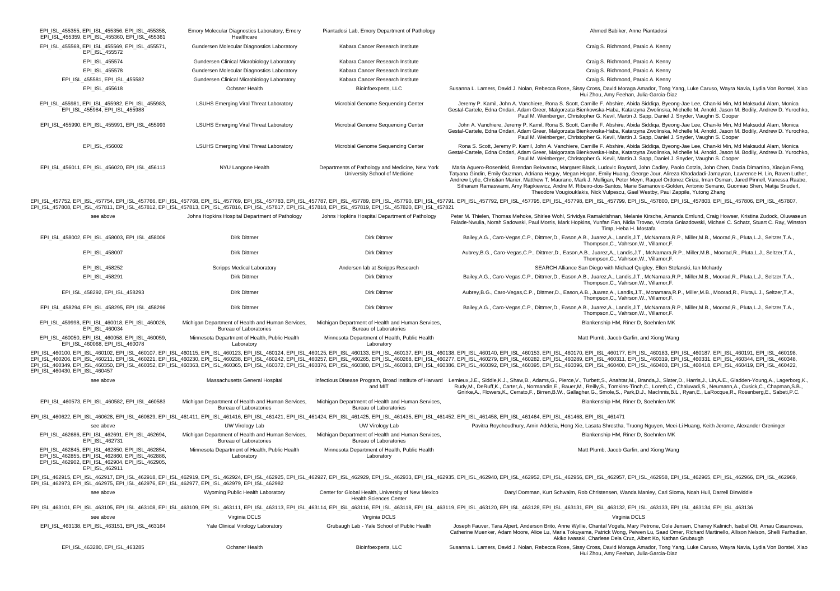| EPI ISL 455355, EPI ISL 455356, EPI ISL 455358.<br>EPI_ISL_455359, EPI_ISL_455360, EPI_ISL_455361                                                                                               | Emory Molecular Diagnostics Laboratory, Emory<br>Healthcare                        | Piantadosi Lab, Emory Department of Pathology                                       | Ahmed Babiker, Anne Piantadosi                                                                                                                                                                                                                                                                                                                                                                                                                                                                                                                                                                                                                                                                     |
|-------------------------------------------------------------------------------------------------------------------------------------------------------------------------------------------------|------------------------------------------------------------------------------------|-------------------------------------------------------------------------------------|----------------------------------------------------------------------------------------------------------------------------------------------------------------------------------------------------------------------------------------------------------------------------------------------------------------------------------------------------------------------------------------------------------------------------------------------------------------------------------------------------------------------------------------------------------------------------------------------------------------------------------------------------------------------------------------------------|
| EPI_ISL_455568, EPI_ISL_455569, EPI_ISL_455571,<br>EPI_ISL_455572                                                                                                                               | Gundersen Molecular Diagnostics Laboratory                                         | Kabara Cancer Research Institute                                                    | Craig S. Richmond, Paraic A. Kenny                                                                                                                                                                                                                                                                                                                                                                                                                                                                                                                                                                                                                                                                 |
| EPI_ISL_455574                                                                                                                                                                                  | Gundersen Clinical Microbiology Laboratory                                         | Kabara Cancer Research Institute                                                    | Craig S. Richmond, Paraic A. Kenny                                                                                                                                                                                                                                                                                                                                                                                                                                                                                                                                                                                                                                                                 |
| EPI_ISL_455578                                                                                                                                                                                  | Gundersen Molecular Diagnostics Laboratory                                         | Kabara Cancer Research Institute                                                    | Craig S. Richmond, Paraic A. Kenny                                                                                                                                                                                                                                                                                                                                                                                                                                                                                                                                                                                                                                                                 |
| EPI_ISL_455581, EPI_ISL_455582                                                                                                                                                                  | Gundersen Clinical Microbiology Laboratory                                         | Kabara Cancer Research Institute                                                    | Craig S. Richmond, Paraic A. Kenny                                                                                                                                                                                                                                                                                                                                                                                                                                                                                                                                                                                                                                                                 |
| EPI_ISL_455618                                                                                                                                                                                  | <b>Ochsner Health</b>                                                              | Bioinfoexperts, LLC                                                                 | Susanna L. Lamers, David J. Nolan, Rebecca Rose, Sissy Cross, David Moraga Amador, Tong Yang, Luke Caruso, Wayra Navia, Lydia Von Borstel, Xiao<br>Hui Zhou, Amy Feehan, Julia-Garcia-Diaz                                                                                                                                                                                                                                                                                                                                                                                                                                                                                                         |
| EPI_ISL_455981, EPI_ISL_455982, EPI_ISL_455983,<br>EPI_ISL_455984, EPI_ISL_455988                                                                                                               | <b>LSUHS Emerging Viral Threat Laboratory</b>                                      | Microbial Genome Sequencing Center                                                  | Jeremy P. Kamil, John A. Vanchiere, Rona S. Scott, Camille F. Abshire, Abida Siddiqa, Byeong-Jae Lee, Chan-ki Min, Md Maksudul Alam, Monica<br>Gestal-Cartele, Edna Ondari, Adam Greer, Malgorzata Bienkowska-Haba, Katarzyna Zwolinska, Michelle M. Arnold, Jason M. Bodily, Andrew D. Yurochko,<br>Paul M. Weinberger, Christopher G. Kevil, Martin J. Sapp, Daniel J. Snyder, Vaughn S. Cooper                                                                                                                                                                                                                                                                                                  |
| EPI_ISL_455990, EPI_ISL_455991, EPI_ISL_455993                                                                                                                                                  | <b>LSUHS Emerging Viral Threat Laboratory</b>                                      | Microbial Genome Sequencing Center                                                  | John A. Vanchiere, Jeremy P. Kamil, Rona S. Scott, Camille F. Abshire, Abida Siddiga, Byeong-Jae Lee, Chan-ki Min, Md Maksudul Alam, Monica<br>Gestal-Cartele, Edna Ondari, Adam Greer, Malgorzata Bienkowska-Haba, Katarzyna Zwolinska, Michelle M. Arnold, Jason M. Bodily, Andrew D. Yurochko,<br>Paul M. Weinberger, Christopher G. Kevil, Martin J. Sapp, Daniel J. Snyder, Vaughn S. Cooper                                                                                                                                                                                                                                                                                                  |
| EPI ISL 456002                                                                                                                                                                                  | <b>LSUHS Emerging Viral Threat Laboratory</b>                                      | Microbial Genome Sequencing Center                                                  | Rona S. Scott, Jeremy P. Kamil, John A. Vanchiere, Camille F. Abshire, Abida Siddiga, Byeong-Jae Lee, Chan-ki Min, Md Maksudul Alam, Monica<br>Gestal-Cartele, Edna Ondari, Adam Greer, Malgorzata Bienkowska-Haba, Katarzyna Zwolinska, Michelle M. Arnold, Jason M. Bodily, Andrew D. Yurochko,<br>Paul M. Weinberger, Christopher G. Kevil, Martin J. Sapp, Daniel J. Snyder, Vaughn S. Cooper                                                                                                                                                                                                                                                                                                  |
| EPI ISL 456011, EPI ISL 456020, EPI ISL 456113                                                                                                                                                  | NYU Langone Health                                                                 | Departments of Pathology and Medicine, New York<br>University School of Medicine    | Maria Aguero-Rosenfeld, Brendan Belovarac, Margaret Black, Ludovic Boytard, John Cadley, Paolo Cotzia, John Chen, Dacia Dimartino, Xiaojun Feng,<br>Tatyana Gindin, Emily Guzman, Adriana Heguy, Megan Hogan, Emily Huang, George Jour, Alireza Khodadadi-Jamayran, Lawrence H. Lin, Raven Luther<br>Andrew Lytle, Christian Marier, Matthew T. Maurano, Mark J. Mulligan, Peter Meyn, Raquel Ordonez Ciriza, Iman Osman, Jared Pinnell, Vanessa Raabe,<br>Sitharam Ramaswami, Amy Rapkiewicz, Andre M. Ribeiro-dos-Santos, Marie Samanovic-Golden, Antonio Serrano, Guomiao Shen, Matija Snuderl,<br>Theodore Vougiouklakis, Nick Vulpescu, Gael Westby, Paul Zappile, Yutong Zhang               |
| EPI_ISL_457808, EPI_ISL_457811, EPI_ISL_457812, EPI_ISL_457813, EPI_ISL_457816, EPI_ISL_457817, EPI_ISL_457818, EPI_ISL_457819, EPI_ISL_457820, EPI_ISL_457820, EPI_ISL_457820, EPI_ISL_457820, |                                                                                    |                                                                                     | EPI_ISL_457752, EPI_ISL_457754, EPI_ISL_457766, EPI_ISL_457768, EPI_ISL_457769, EPI_ISL_457783, EPI_ISL_457787, EPI_ISL_457789, EPI_ISL_457790, EPI_ISL_457790, EPI_ISL_457790, EPI_ISL_457799, EPI_ISL_457799, EPI_ISL_457799                                                                                                                                                                                                                                                                                                                                                                                                                                                                     |
| see above                                                                                                                                                                                       | Johns Hopkins Hospital Department of Pathology                                     | Johns Hopkins Hospital Department of Pathology                                      | Peter M. Thielen, Thomas Mehoke, Shirlee Wohl, Srividya Ramakrishnan, Melanie Kirsche, Amanda Ernlund, Craig Howser, Kristina Zudock, Oluwaseun<br>Falade-Nwulia, Norah Sadowski, Paul Morris, Mark Hopkins, Yunfan Fan, Nidia Trovao, Victoria Gniazdowski, Michael C. Schatz, Stuart C. Ray, Winston<br>Timp, Heba H. Mostafa                                                                                                                                                                                                                                                                                                                                                                    |
| EPI_ISL_458002, EPI_ISL_458003, EPI_ISL_458006                                                                                                                                                  | Dirk Dittmer                                                                       | Dirk Dittmer                                                                        | Bailey, A.G., Caro-Vegas, C.P., Dittmer, D., Eason, A.B., Juarez, A., Landis, J.T., McNamara, R.P., Miller, M.B., Moorad, R., Pluta, L.J., Seltzer, T.A.,<br>Thompson.C., Vahrson.W., Villamor.F.                                                                                                                                                                                                                                                                                                                                                                                                                                                                                                  |
| EPI ISL 458007                                                                                                                                                                                  | Dirk Dittmer                                                                       | Dirk Dittmer                                                                        | Aubrey,B.G., Caro-Vegas,C.P., Dittmer,D., Eason,A.B., Juarez,A., Landis,J.T., McNamara,R.P., Miller,M.B., Moorad,R., Pluta,L.J., Seltzer,T.A.,<br>Thompson.C., Vahrson.W., Villamor.F.                                                                                                                                                                                                                                                                                                                                                                                                                                                                                                             |
| EPI ISL 458252                                                                                                                                                                                  | Scripps Medical Laboratory                                                         | Andersen lab at Scripps Research                                                    | SEARCH Alliance San Diego with Michael Quigley, Ellen Stefanski, Ian Mchardy                                                                                                                                                                                                                                                                                                                                                                                                                                                                                                                                                                                                                       |
| EPI_ISL_458291                                                                                                                                                                                  | Dirk Dittmer                                                                       | Dirk Dittmer                                                                        | Bailey, A.G., Caro-Vegas, C.P., Dittmer, D., Eason, A.B., Juarez, A., Landis, J.T., McNamara, R.P., Miller, M.B., Moorad, R., Pluta, L.J., Seltzer, T.A.,<br>Thompson.C., Vahrson.W., Villamor.F.                                                                                                                                                                                                                                                                                                                                                                                                                                                                                                  |
| EPI ISL 458292, EPI ISL 458293                                                                                                                                                                  | Dirk Dittmer                                                                       | Dirk Dittmer                                                                        | Aubrey, B.G., Caro-Vegas, C.P., Dittmer, D., Eason, A.B., Juarez, A., Landis, J.T., Mcnamara, R.P., Miller, M.B., Moorad, R., Pluta, L.J., Seltzer, T.A.,<br>Thompson.C., Vahrson.W., Villamor.F.                                                                                                                                                                                                                                                                                                                                                                                                                                                                                                  |
| EPI_ISL_458294, EPI_ISL_458295, EPI_ISL_458296                                                                                                                                                  | <b>Dirk Dittmer</b>                                                                | <b>Dirk Dittmer</b>                                                                 | Bailey, A.G., Caro-Vegas, C.P., Dittmer, D., Eason, A.B., Juarez, A., Landis, J.T., McNamara, R.P., Miller, M.B., Moorad, R., Pluta, L.J., Seltzer, T.A.,<br>Thompson.C., Vahrson.W., Villamor.F.                                                                                                                                                                                                                                                                                                                                                                                                                                                                                                  |
| EPI ISL 459998, EPI ISL 460018, EPI ISL 460026.<br>EPI_ISL_460034                                                                                                                               | Michigan Department of Health and Human Services,<br><b>Bureau of Laboratories</b> | Michigan Department of Health and Human Services,<br><b>Bureau of Laboratories</b>  | Blankenship HM, Riner D, Soehnlen MK                                                                                                                                                                                                                                                                                                                                                                                                                                                                                                                                                                                                                                                               |
| EPI_ISL_460050, EPI_ISL_460058, EPI_ISL_460059,<br>EPI_ISL_460068, EPI_ISL_460078                                                                                                               | Minnesota Department of Health, Public Health<br>Laboratory                        | Minnesota Department of Health, Public Health<br>Laboratory                         | Matt Plumb, Jacob Garfin, and Xiong Wang                                                                                                                                                                                                                                                                                                                                                                                                                                                                                                                                                                                                                                                           |
| EPI_ISL_460430, EPI_ISL_460457                                                                                                                                                                  |                                                                                    |                                                                                     | EPI_ISL_460100, EPI_ISL_460102, EPI_ISL_460107, EPI_ISL_460115, EPI_ISL_460123, EPI_ISL_460123, EPI_ISL_460123, EPI_ISL_460123, EPI_ISL_460123, EPI_ISL_460123, EPI_ISL_460123, EPI_ISL_460123, EPI_ISL_460123, EPI_ISL_460137<br>EPI_ISL_460206, EPI_ISL_460211, EPI_ISL_460221, EPI_ISL_460230, EPI_ISL_460238, EPI_ISL_460242, EPI_ISL_460257, EPI_ISL_460257, EPI_ISL_460256, EPI_ISL_460258, EPI_ISL_460258, EPI_ISL_460258, EPI_ISL_460248, EPI_ISL_460230<br>EPI_ISL_460349, EPI_ISL_460350, EPI_ISL_460352, EPI_ISL_460363, EPI_ISL_460365, EPI_ISL_460376, EPI_ISL_460376, EPI_ISL_460380, EPI_ISL_460380, EPI_ISL_460380, EPI_ISL_460386, EPI_ISL_460376, EPI_ISL_460380, EPI_ISL_460385 |
| see above                                                                                                                                                                                       | Massachusetts General Hospital                                                     | and MIT                                                                             | Infectious Disease Program, Broad Institute of Harvard Lemieux, J.E., Siddle, K.J., Shaw, B., Adams, G., Pierce, V., Turbett, S., Anahtar, M., Branda, J., Slater, D., Harris, J., Lin, A.E., Gladden-Young, A., Lagerborg, K.<br>Rudy, M., DeRuff, K., Carter, A., Normandin, E., Bauer, M., Reilly, S., Tomkins-Tinch, C., Loreth, C., Chaluvadi, S., Neumann, A., Cusick, C., Chapman, S.B.,<br>Gnirke, A., Flowers, K., Cerrato, F., Birren, B.W., Gallagher, G., Smole, S., Park, D.J., MacInnis, B.L., Ryan, E., LaRocque, R., Rosenberg, E., Sabeti, P.C.                                                                                                                                   |
| EPI_ISL_460573, EPI_ISL_460582, EPI_ISL_460583                                                                                                                                                  | Michigan Department of Health and Human Services,<br><b>Bureau of Laboratories</b> | Michigan Department of Health and Human Services,<br><b>Bureau of Laboratories</b>  | Blankenship HM, Riner D, Soehnlen MK                                                                                                                                                                                                                                                                                                                                                                                                                                                                                                                                                                                                                                                               |
|                                                                                                                                                                                                 |                                                                                    |                                                                                     | EPI ISL 460622, EPI ISL 460628, EPI ISL 460629, EPI ISL 461411, EPI ISL 461416, EPI ISL 461421, EPI ISL 461424, EPI ISL 461425, EPI ISL 461435, EPI ISL 461452, EPI ISL 461452, EPI ISL 461458, EPI ISL 461464, EPI ISL 461468                                                                                                                                                                                                                                                                                                                                                                                                                                                                     |
| see above                                                                                                                                                                                       | UW Virology Lab                                                                    | UW Virology Lab                                                                     | Pavitra Roychoudhury, Amin Addetia, Hong Xie, Lasata Shrestha, Truong Nguyen, Meei-Li Huang, Keith Jerome, Alexander Greninger                                                                                                                                                                                                                                                                                                                                                                                                                                                                                                                                                                     |
| EPI ISL 462686, EPI ISL 462691, EPI ISL 462694.<br>EPI ISL 462731                                                                                                                               | Michigan Department of Health and Human Services,<br>Bureau of Laboratories        | Michigan Department of Health and Human Services,<br><b>Bureau of Laboratories</b>  | Blankenship HM, Riner D, Soehnlen MK                                                                                                                                                                                                                                                                                                                                                                                                                                                                                                                                                                                                                                                               |
| EPI ISL 462845, EPI ISL 462850, EPI ISL 462854,<br>EPI ISL 462855, EPI ISL 462860, EPI ISL 462886,<br>EPI_ISL_462902, EPI_ISL_462904, EPI_ISL_462905,<br>EPI ISL 462911                         | Minnesota Department of Health, Public Health<br>Laboratory                        | Minnesota Department of Health, Public Health<br>Laboratory                         | Matt Plumb, Jacob Garfin, and Xiong Wang                                                                                                                                                                                                                                                                                                                                                                                                                                                                                                                                                                                                                                                           |
| EPI_ISL_462973, EPI_ISL_462975, EPI_ISL_462976, EPI_ISL_462977, EPI_ISL_462979, EPI_ISL_462982                                                                                                  |                                                                                    |                                                                                     | EPI_ISL_462915, EPI_ISL_462917, EPI_ISL_462918, EPI_ISL_462918, EPI_ISL_462926, EPI_ISL_462925, EPI_ISL_462927, EPI_ISL_462929, EPI_ISL_462929, EPI_ISL_462929, EPI_ISL_462929, EPI_ISL_462929, EPI_ISL_462929, EPI_ISL_462925                                                                                                                                                                                                                                                                                                                                                                                                                                                                     |
| see above                                                                                                                                                                                       | Wyoming Public Health Laboratory                                                   | Center for Global Health, University of New Mexico<br><b>Health Sciences Center</b> | Daryl Domman, Kurt Schwalm, Rob Christensen, Wanda Manley, Cari Sloma, Noah Hull, Darrell Dinwiddie                                                                                                                                                                                                                                                                                                                                                                                                                                                                                                                                                                                                |
|                                                                                                                                                                                                 |                                                                                    |                                                                                     | EPI ISL 463101, EPI ISL 463105, EPI ISL 463108, EPI ISL 463109, EPI ISL 463119, EPI ISL 463113, EPI ISL 463113, EPI ISL 463114, EPI ISL 463114, EPI ISL 463118, EPI ISL 463118, EPI ISL 463118, EPI ISL 463136, EPI ISL 463136                                                                                                                                                                                                                                                                                                                                                                                                                                                                     |
| see above                                                                                                                                                                                       | Virginia DCLS                                                                      | Virginia DCLS                                                                       | Virginia DCLS                                                                                                                                                                                                                                                                                                                                                                                                                                                                                                                                                                                                                                                                                      |
| EPI ISL 463138, EPI ISL 463151, EPI ISL 463164                                                                                                                                                  | Yale Clinical Virology Laboratory                                                  | Grubaugh Lab - Yale School of Public Health                                         | Joseph Fauver, Tara Alpert, Anderson Brito, Anne Wyllie, Chantal Vogels, Mary Petrone, Cole Jensen, Chaney Kalinich, Isabel Ott, Arnau Casanovas,<br>Catherine Muenker, Adam Moore, Alice Lu, Maria Tokuyama, Patrick Wong, Peiwen Lu, Saad Omer, Richard Martinello, Allison Nelson, Shelli Farhadian,<br>Akiko Iwasaki, Charlese Dela Cruz, Albert Ko, Nathan Grubaugh                                                                                                                                                                                                                                                                                                                           |
| EPI_ISL_463280, EPI_ISL_463285                                                                                                                                                                  | Ochsner Health                                                                     | Bioinfoexperts, LLC                                                                 | Susanna L. Lamers, David J. Nolan, Rebecca Rose, Sissy Cross, David Moraga Amador, Tong Yang, Luke Caruso, Wayra Navia, Lydia Von Borstel, Xiao<br>Hui Zhou, Amy Feehan, Julia-Garcia-Diaz                                                                                                                                                                                                                                                                                                                                                                                                                                                                                                         |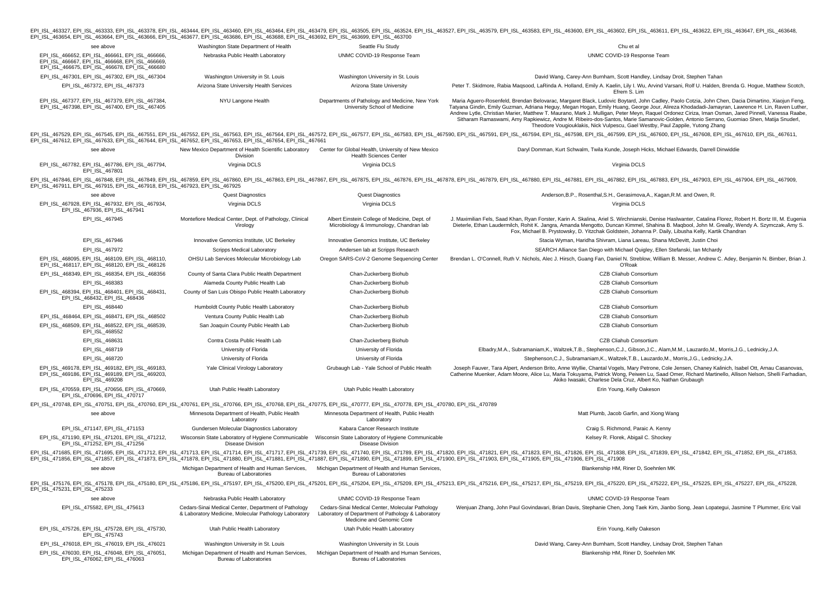| EPI_ISL_463654, EPI_ISL_463664, EPI_ISL_463666, EPI_ISL_463677, EPI_ISL_463686, EPI_ISL_463688, EPI_ISL_463692, EPI_ISL_463699, EPI_ISL_463700                                                                    |                                                                                                               |                                                                                                                                     | EPI_ISL_463327, EPI_ISL_463333, EPI_ISL_463378, EPI_ISL_463444, EPI_ISL_463460, EPI_ISL_463464, EPI_ISL_463479, EPI_ISL_463570, EPI_ISL_463524, EPI_ISL_463577, EPI_ISL_463577, EPI_ISL_463579, EPI_ISL_463500, EPI_ISL_463647                                                                                                                                                                                                                                                                                                                                                                                                                                                        |
|-------------------------------------------------------------------------------------------------------------------------------------------------------------------------------------------------------------------|---------------------------------------------------------------------------------------------------------------|-------------------------------------------------------------------------------------------------------------------------------------|---------------------------------------------------------------------------------------------------------------------------------------------------------------------------------------------------------------------------------------------------------------------------------------------------------------------------------------------------------------------------------------------------------------------------------------------------------------------------------------------------------------------------------------------------------------------------------------------------------------------------------------------------------------------------------------|
| see above                                                                                                                                                                                                         | Washington State Department of Health                                                                         | Seattle Flu Study                                                                                                                   | Chu et al                                                                                                                                                                                                                                                                                                                                                                                                                                                                                                                                                                                                                                                                             |
| EPI ISL 466652, EPI ISL 466661, EPI ISL 466666,<br>EPI_ISL_466667, EPI_ISL_466668, EPI_ISL_466669,<br>EPI_ISL_466675, EPI_ISL_466678, EPI_ISL_466680                                                              | Nebraska Public Health Laboratory                                                                             | UNMC COVID-19 Response Team                                                                                                         | UNMC COVID-19 Response Team                                                                                                                                                                                                                                                                                                                                                                                                                                                                                                                                                                                                                                                           |
| EPI_ISL_467301, EPI_ISL_467302, EPI_ISL_467304                                                                                                                                                                    | Washington University in St. Louis                                                                            | Washington University in St. Louis                                                                                                  | David Wang, Carey-Ann Burnham, Scott Handley, Lindsay Droit, Stephen Tahan                                                                                                                                                                                                                                                                                                                                                                                                                                                                                                                                                                                                            |
| EPI ISL 467372, EPI ISL 467373                                                                                                                                                                                    | Arizona State University Health Services                                                                      | Arizona State University                                                                                                            | Peter T. Skidmore, Rabia Maqsood, LaRinda A. Holland, Emily A. Kaelin, Lily I. Wu, Arvind Varsani, Rolf U. Halden, Brenda G. Hogue, Matthew Scotch,<br>Efrem S. Lim                                                                                                                                                                                                                                                                                                                                                                                                                                                                                                                   |
| EPI_ISL_467377, EPI_ISL_467379, EPI_ISL_467384,<br>EPI ISL 467398, EPI ISL 467400, EPI ISL 467405                                                                                                                 | NYU Langone Health                                                                                            | Departments of Pathology and Medicine, New York<br>University School of Medicine                                                    | Maria Aguero-Rosenfeld, Brendan Belovarac, Margaret Black, Ludovic Boytard, John Cadley, Paolo Cotzia, John Chen, Dacia Dimartino, Xiaojun Feng,<br>Tatyana Gindin, Emily Guzman, Adriana Heguy, Megan Hogan, Emily Huang, George Jour, Alireza Khodadadi-Jamayran, Lawrence H. Lin, Raven Luther,<br>Andrew Lytle, Christian Marier, Matthew T. Maurano, Mark J. Mulligan, Peter Meyn, Raquel Ordonez Ciriza, Iman Osman, Jared Pinnell, Vanessa Raabe,<br>Sitharam Ramaswami, Amy Rapkiewicz, Andre M. Ribeiro-dos-Santos, Marie Samanovic-Golden, Antonio Serrano, Guomiao Shen, Matija Snuderl,<br>Theodore Vougiouklakis, Nick Vulpescu, Gael Westby, Paul Zappile, Yutong Zhang |
| EPI_ISL_467612, EPI_ISL_467633, EPI_ISL_467644, EPI_ISL_467652, EPI_ISL_467653, EPI_ISL_467654, EPI_ISL_467661                                                                                                    |                                                                                                               |                                                                                                                                     | EPI_ISL_467529, EPI_ISL_467545, EPI_ISL_467551, EPI_ISL_467552, EPI_ISL_467563, EPI_ISL_467563, EPI_ISL_467572, EPI_ISL_467577, EPI_ISL_467577, EPI_ISL_467583, EPI_ISL_467589, EPI_ISL_467589, EPI_ISL_46758, EPI_ISL_467547,                                                                                                                                                                                                                                                                                                                                                                                                                                                        |
| see above                                                                                                                                                                                                         | New Mexico Department of Health Scientific Laboratory<br>Division                                             | Center for Global Health, University of New Mexico<br><b>Health Sciences Center</b>                                                 | Daryl Domman, Kurt Schwalm, Twila Kunde, Joseph Hicks, Michael Edwards, Darrell Dinwiddie                                                                                                                                                                                                                                                                                                                                                                                                                                                                                                                                                                                             |
| EPI ISL 467782, EPI ISL 467786, EPI ISL 467794,<br>EPI ISL 467801                                                                                                                                                 | Virginia DCLS                                                                                                 | Virginia DCLS                                                                                                                       | Virginia DCLS                                                                                                                                                                                                                                                                                                                                                                                                                                                                                                                                                                                                                                                                         |
| EPI_ISL_467911, EPI_ISL_467915, EPI_ISL_467918, EPI_ISL_467923, EPI_ISL_467925                                                                                                                                    |                                                                                                               |                                                                                                                                     | EPI_ISL_467846, EPI_ISL_467848, EPI_ISL_467849, EPI_ISL_467859, EPI_ISL_467860, EPI_ISL_467863, EPI_ISL_467867, EPI_ISL_467876, EPI_ISL_467876, EPI_ISL_467876, EPI_ISL_467876, EPI_ISL_467876, EPI_ISL_467876, EPI_ISL_467878                                                                                                                                                                                                                                                                                                                                                                                                                                                        |
| see above                                                                                                                                                                                                         | <b>Quest Diagnostics</b>                                                                                      | <b>Quest Diagnostics</b>                                                                                                            | Anderson, B.P., Rosenthal, S.H., Gerasimova, A., Kagan, R.M. and Owen, R.                                                                                                                                                                                                                                                                                                                                                                                                                                                                                                                                                                                                             |
| EPI ISL 467928, EPI ISL 467932, EPI ISL 467934,<br>EPI ISL 467936, EPI ISL 467941                                                                                                                                 | Virginia DCLS                                                                                                 | Virginia DCLS                                                                                                                       | Virginia DCLS                                                                                                                                                                                                                                                                                                                                                                                                                                                                                                                                                                                                                                                                         |
| EPI ISL 467945                                                                                                                                                                                                    | Montefiore Medical Center, Dept. of Pathology, Clinical<br>Virology                                           | Albert Einstein College of Medicine, Dept. of<br>Microbiology & Immunology, Chandran lab                                            | J. Maximilian Fels, Saad Khan, Ryan Forster, Karin A. Skalina, Ariel S. Wirchnianski, Denise Haslwanter, Catalina Florez, Robert H. Bortz III, M. Eugenia<br>Dieterle, Ethan Laudermilch, Rohit K. Jangra, Amanda Mengotto, Duncan Kimmel, Shahina B. Magbool, John M. Greally, Wendy A. Szymczak, Amy S.<br>Fox, Michael B. Prystowsky, D. Yitzchak Goldstein, Johanna P. Daily, Libusha Kelly, Kartik Chandran                                                                                                                                                                                                                                                                      |
| EPI_ISL_467946                                                                                                                                                                                                    | Innovative Genomics Institute, UC Berkeley                                                                    | Innovative Genomics Institute, UC Berkeley                                                                                          | Stacia Wyman, Haridha Shivram, Liana Lareau, Shana McDevitt, Justin Choi                                                                                                                                                                                                                                                                                                                                                                                                                                                                                                                                                                                                              |
| EPI_ISL_467972                                                                                                                                                                                                    | Scripps Medical Laboratory                                                                                    | Andersen lab at Scripps Research                                                                                                    | SEARCH Alliance San Diego with Michael Quigley, Ellen Stefanski, Ian Mchardy                                                                                                                                                                                                                                                                                                                                                                                                                                                                                                                                                                                                          |
| EPI ISL 468095, EPI ISL 468109, EPI ISL 468110,<br>EPI_ISL_468117, EPI_ISL_468120, EPI_ISL_468126                                                                                                                 | OHSU Lab Services Molecular Microbiology Lab                                                                  | Oregon SARS-CoV-2 Genome Sequencing Center                                                                                          | Brendan L. O'Connell, Ruth V. Nichols, Alec J. Hirsch, Guang Fan, Daniel N. Streblow, William B. Messer, Andrew C. Adey, Benjamin N. Bimber, Brian J<br>O'Roak                                                                                                                                                                                                                                                                                                                                                                                                                                                                                                                        |
| EPI_ISL_468349, EPI_ISL_468354, EPI_ISL_468356                                                                                                                                                                    | County of Santa Clara Public Health Department                                                                | Chan-Zuckerberg Biohub                                                                                                              | CZB Cliahub Consortium                                                                                                                                                                                                                                                                                                                                                                                                                                                                                                                                                                                                                                                                |
| EPI_ISL_468383                                                                                                                                                                                                    | Alameda County Public Health Lab                                                                              | Chan-Zuckerberg Biohub                                                                                                              | CZB Cliahub Consortium                                                                                                                                                                                                                                                                                                                                                                                                                                                                                                                                                                                                                                                                |
| EPI_ISL_468394, EPI_ISL_468401, EPI_ISL_468431,<br>EPI ISL 468432, EPI ISL 468436                                                                                                                                 | County of San Luis Obispo Public Health Laboratory                                                            | Chan-Zuckerberg Biohub                                                                                                              | CZB Cliahub Consortium                                                                                                                                                                                                                                                                                                                                                                                                                                                                                                                                                                                                                                                                |
| EPI_ISL_468440                                                                                                                                                                                                    | Humboldt County Public Health Laboratory                                                                      | Chan-Zuckerberg Biohub                                                                                                              | CZB Cliahub Consortium                                                                                                                                                                                                                                                                                                                                                                                                                                                                                                                                                                                                                                                                |
| EPI ISL 468464, EPI ISL 468471, EPI ISL 468502                                                                                                                                                                    | Ventura County Public Health Lab                                                                              | Chan-Zuckerberg Biohub                                                                                                              | CZB Cliahub Consortium                                                                                                                                                                                                                                                                                                                                                                                                                                                                                                                                                                                                                                                                |
| EPI_ISL_468509, EPI_ISL_468522, EPI_ISL_468539,<br>EPI_ISL_468552                                                                                                                                                 | San Joaquin County Public Health Lab                                                                          | Chan-Zuckerberg Biohub                                                                                                              | CZB Cliahub Consortium                                                                                                                                                                                                                                                                                                                                                                                                                                                                                                                                                                                                                                                                |
| EPI_ISL_468631                                                                                                                                                                                                    | Contra Costa Public Health Lab                                                                                | Chan-Zuckerberg Biohub                                                                                                              | CZB Cliahub Consortium                                                                                                                                                                                                                                                                                                                                                                                                                                                                                                                                                                                                                                                                |
| EPI_ISL_468719                                                                                                                                                                                                    | University of Florida                                                                                         | University of Florida                                                                                                               | Elbadry, M.A., Subramaniam, K., Waltzek, T.B., Stephenson, C.J., Gibson, J.C., Alam, M.M., Lauzardo, M., Morris, J.G., Lednicky, J.A.                                                                                                                                                                                                                                                                                                                                                                                                                                                                                                                                                 |
| EPI ISL 468720                                                                                                                                                                                                    | University of Florida                                                                                         | University of Florida                                                                                                               | Stephenson, C.J., Subramaniam, K., Waltzek, T.B., Lauzardo, M., Morris, J.G., Lednicky, J.A.                                                                                                                                                                                                                                                                                                                                                                                                                                                                                                                                                                                          |
| EPI ISL 469178, EPI ISL 469182, EPI ISL 469183,<br>EPI_ISL_469186, EPI_ISL_469189, EPI_ISL_469203,<br>EPI ISL 469208                                                                                              | Yale Clinical Virology Laboratory                                                                             | Grubaugh Lab - Yale School of Public Health                                                                                         | Joseph Fauver, Tara Alpert, Anderson Brito, Anne Wyllie, Chantal Vogels, Mary Petrone, Cole Jensen, Chaney Kalinich, Isabel Ott, Arnau Casanovas,<br>Catherine Muenker, Adam Moore, Alice Lu, Maria Tokuyama, Patrick Wong, Peiwen Lu, Saad Omer, Richard Martinello, Allison Nelson, Shelli Farhadian<br>Akiko Iwasaki, Charlese Dela Cruz, Albert Ko, Nathan Grubaugh                                                                                                                                                                                                                                                                                                               |
| EPI ISL 470559, EPI ISL 470656, EPI ISL 470669,<br>EPI_ISL_470696, EPI_ISL_470717                                                                                                                                 | Utah Public Health Laboratory                                                                                 | Utah Public Health Laboratory                                                                                                       | Erin Young, Kelly Oakeson                                                                                                                                                                                                                                                                                                                                                                                                                                                                                                                                                                                                                                                             |
| EPI_ISL_470748, EPI_ISL_470751, EPI_ISL_470760, EPI_ISL_470761, EPI_ISL_470766, EPI_ISL_470768, EPI_ISL_470775, EPI_ISL_470777, EPI_ISL_470778, EPI_ISL_470780, EPI_ISL_4707780, EPI_ISL_4707780, EPI_ISL_470789, |                                                                                                               |                                                                                                                                     |                                                                                                                                                                                                                                                                                                                                                                                                                                                                                                                                                                                                                                                                                       |
| see above                                                                                                                                                                                                         | Minnesota Department of Health, Public Health<br>Laboratory                                                   | Minnesota Department of Health, Public Health<br>Laboratory                                                                         | Matt Plumb, Jacob Garfin, and Xiong Wang                                                                                                                                                                                                                                                                                                                                                                                                                                                                                                                                                                                                                                              |
| EPI_ISL_471147, EPI_ISL_471153                                                                                                                                                                                    | Gundersen Molecular Diagnostics Laboratory                                                                    | Kabara Cancer Research Institute                                                                                                    | Craig S. Richmond, Paraic A. Kenny                                                                                                                                                                                                                                                                                                                                                                                                                                                                                                                                                                                                                                                    |
| EPI ISL 471190, EPI ISL 471201, EPI ISL 471212,<br>EPI_ISL_471252, EPI_ISL_471256                                                                                                                                 | Wisconsin State Laboratory of Hygiene Communicable<br><b>Disease Division</b>                                 | Wisconsin State Laboratory of Hygiene Communicable<br>Disease Division                                                              | Kelsey R. Florek, Abigail C. Shockey                                                                                                                                                                                                                                                                                                                                                                                                                                                                                                                                                                                                                                                  |
|                                                                                                                                                                                                                   |                                                                                                               |                                                                                                                                     | EPI_ISL_471685, EPI_ISL_471695, EPI_ISL_471712, EPI_ISL_471713, EPI_ISL_471714, EPI_ISL_471714, EPI_ISL_471717, EPI_ISL_471739, EPI_ISL_471739, EPI_ISL_471739, EPI_ISL_471739, EPI_ISL_471739, EPI_ISL_471789, EPI_ISL_471789<br>EPI ISL 471856, EPI ISL 471857, EPI ISL 471873, EPI ISL 471878, EPI ISL 471880, EPI ISL 471881, EPI ISL 471887, EPI ISL 471899, EPI ISL 471899, EPI ISL 471900, EPI ISL 471903, EPI ISL 471905, EPI ISL 471906, EPI ISL 471906                                                                                                                                                                                                                      |
| see above                                                                                                                                                                                                         | Michigan Department of Health and Human Services.<br>Bureau of Laboratories                                   | Michigan Department of Health and Human Services,<br><b>Bureau of Laboratories</b>                                                  | Blankenship HM, Riner D, Soehnlen MK                                                                                                                                                                                                                                                                                                                                                                                                                                                                                                                                                                                                                                                  |
| EPI_ISL_475231, EPI_ISL_475233                                                                                                                                                                                    |                                                                                                               |                                                                                                                                     | EPI_ISL_475176, EPI_ISL_475178, EPI_ISL_475180, EPI_ISL_475186, EPI_ISL_475197, EPI_ISL_475200, EPI_ISL_475200, EPI_ISL_475200, EPI_ISL_475200, EPI_ISL_47520, EPI_ISL_47520, EPI_ISL_47520, EPI_ISL_475220, EPI_ISL_475220, E                                                                                                                                                                                                                                                                                                                                                                                                                                                        |
| see above                                                                                                                                                                                                         | Nebraska Public Health Laboratory                                                                             | UNMC COVID-19 Response Team                                                                                                         | UNMC COVID-19 Response Team                                                                                                                                                                                                                                                                                                                                                                                                                                                                                                                                                                                                                                                           |
| EPI ISL 475582, EPI ISL 475613                                                                                                                                                                                    | Cedars-Sinai Medical Center, Department of Pathology<br>& Laboratory Medicine, Molecular Pathology Laboratory | Cedars-Sinai Medical Center, Molecular Pathology<br>Laboratory of Department of Pathology & Laboratory<br>Medicine and Genomic Core | Wenjuan Zhang, John Paul Govindavari, Brian Davis, Stephanie Chen, Jong Taek Kim, Jianbo Song, Jean Lopategui, Jasmine T Plummer, Eric Vail                                                                                                                                                                                                                                                                                                                                                                                                                                                                                                                                           |
| EPI ISL 475726, EPI ISL 475728, EPI ISL 475730,<br>EPI ISL 475743                                                                                                                                                 | Utah Public Health Laboratory                                                                                 | Utah Public Health Laboratory                                                                                                       | Erin Young, Kelly Oakeson                                                                                                                                                                                                                                                                                                                                                                                                                                                                                                                                                                                                                                                             |
| EPI_ISL_476018, EPI_ISL_476019, EPI_ISL_476021                                                                                                                                                                    | Washington University in St. Louis                                                                            | Washington University in St. Louis                                                                                                  | David Wang, Carey-Ann Burnham, Scott Handley, Lindsay Droit, Stephen Tahan                                                                                                                                                                                                                                                                                                                                                                                                                                                                                                                                                                                                            |
| EPI_ISL_476030, EPI_ISL_476048, EPI_ISL_476051,<br>EPI_ISL_476062, EPI_ISL_476063                                                                                                                                 | Michigan Department of Health and Human Services,<br><b>Bureau of Laboratories</b>                            | Michigan Department of Health and Human Services,<br><b>Bureau of Laboratories</b>                                                  | Blankenship HM, Riner D. Soehnlen MK                                                                                                                                                                                                                                                                                                                                                                                                                                                                                                                                                                                                                                                  |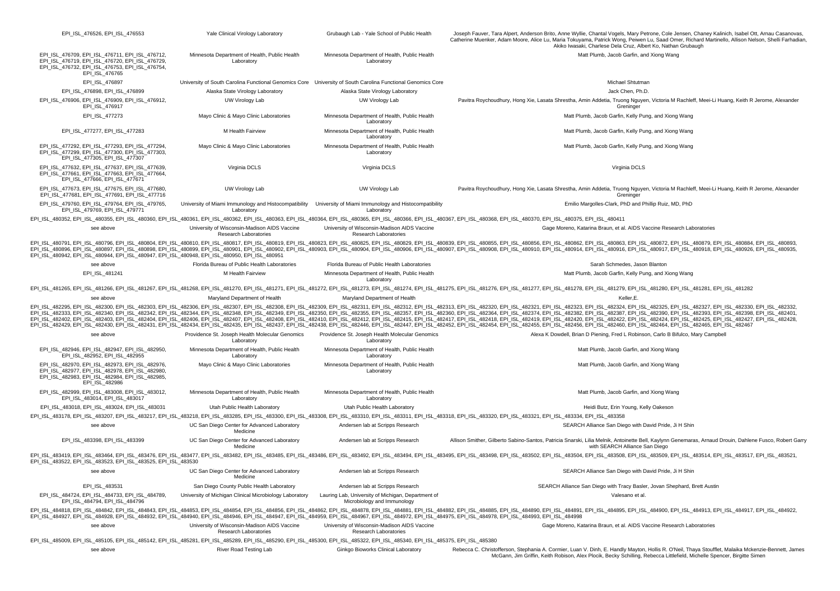The United States of the Clinical Virology Laboratory Chubaudh Lab - Yale School of Public Health Joseph Fauver. Tara Albert, Anderson Brito. Anne Wyllie. Chantal Vogels. Mary Petrone. Cole Jensen, Chaney Kalinich, Isabel Catherine Muenker, Adam Moore, Alice Lu, Maria Tokuyama, Patrick Wong, Peiwen Lu, Saad Omer, Richard Martinello, Allison Nelson, Shelli Farhadian, Akiko Iwasaki, Charlese Dela Cruz, Albert Ko, Nathan Grubaugh EPI\_ISL\_476709, EPI\_ISL\_476711, EPI\_ISL\_476712, EPI\_ISL\_476719, EPI\_ISL\_476720, EPI\_ISL\_476729, EPI\_ISL\_476732, EPI\_ISL\_476753, EPI\_ISL\_476754, EPI\_ISL\_476765 Minnesota Department of Health, Public Health Laboratory Minnesota Department of Health, Public Health Laboratory Matt Plumb, Jacob Garfin, and Xiong Wang EPI\_ISL\_476897 Communiversity of South Carolina Functional Genomics Core University of South Carolina Functional Genomics Core Michael Shtutman EPI\_ISL\_476898, EPI\_ISL\_476899 Alaska State Virology Laboratory Alaska State Virology Laboratory Jack Chen, Ph.D. EPI\_ISL\_476906, EPI\_ISL\_476909, EPI\_ISL\_476912, EPI\_ISL\_476917 UW Virology Lab UW Virology Lab Pavitra Roychoudhury, Hong Xie, Lasata Shrestha, Amin Addetia, Truong Nguyen, Victoria M Rachleff, Meei-Li Huang, Keith R Jerome, Alexander Greninge EPI\_ISL\_477273 Mayo Clinic & Mayo Clinic Laboratories Minnesota Department of Health, Public Health Laboratory Matt Plumb, Jacob Garfin, Kelly Pung, and Xiong Wang EPI\_ISL\_477277, EPI\_ISL\_477283 M Health Fairview Minnesota Department of Health, Public Health Laboratory Matt Plumb, Jacob Garfin, Kelly Pung, and Xiong Wang EPI\_ISL\_477292, EPI\_ISL\_477293, EPI\_ISL\_477294, EPI\_ISL\_477299, EPI\_ISL\_477300, EPI\_ISL\_477303,  $E$ PILISL\_477305, EPILISL\_477307 Mayo Clinic & Mayo Clinic Laboratories Minnesota Department of Health, Public Health Laboratory Matt Plumb, Jacob Garfin, Kelly Pung, and Xiong Wang EPI\_ISL\_477632, EPI\_ISL\_477637, EPI\_ISL\_477639, EPI\_ISL\_477661, EPI\_ISL\_477663, EPI\_ISL\_477664, EPI\_ISL\_477666, EPI\_ISL\_477671 Virginia DCLS Virginia DCLS Virginia DCLS EPI\_ISL\_477673, EPI\_ISL\_477675, EPI\_ISL\_477680, EPI\_ISL\_477681, EPI\_ISL\_477691, EPI\_ISL\_477716 UW Virology Lab UW Virology Lab Pavitra Roychoudhury, Hong Xie, Lasata Shrestha, Amin Addetia, Truong Nguyen, Victoria M Rachleff, Meei-Li Huang, Keith R Jerome, Alexander Greninge EPI\_ISL\_479760, EPI\_ISL\_479764, EPI\_ISL\_479765, EPI\_ISL\_479769, EPI\_ISL\_479771 University of Miami Immunology and Histocompatibility University of Miami Immunology and Histocompatibility **Laboratory Laboratory** Emilio Margolles-Clark, PhD and Phillip Ruiz, MD, PhD EPI ISL 480352, EPI ISL 480355, EPI ISL 480360, EPI ISL 480361, EPI ISL 480362, EPI ISL 480363, EPI ISL 480364, EPI ISL 480365, EPI ISL 480366, EPI ISL 480367, EPI ISL 480368, EPI ISL 480375, EPI ISL 480411 see above **University of Wisconsin-Madison AIDS Vaccine** Research Laboratories University of Wisconsin-Madison AIDS Vaccine Research Laboratories Gage Moreno, Katarina Braun, et al. AIDS Vaccine Research Laboratories EPI\_ISL\_4808791, EPI\_ISL\_480796, EPI\_ISL\_480804, EPI\_ISL\_480810, EPI\_ISL\_480817, EPI\_ISL\_480819, EPI\_ISL\_480823, EPI\_ISL\_480823, EPI\_ISL\_480829, EPI\_ISL\_480839, EPI\_ISL\_480856, EPI\_ISL\_480856, EPI\_ISL\_480856, EPI\_ISL\_48085 EPISL\_480896, EPISL\_480897, EPISL\_480898, EPISL\_480899, EPISL\_480999, EPISL\_480901, EPISL\_480902, EPISL\_480902, EPISL\_480903, EPISL\_480904, EPISL\_480904, EPISL\_480907, EPISL\_48099, EPISL\_480914, EPISL\_480914, EPISL\_480916, EPI\_ISL\_480942, EPI\_ISL\_480944, EPI\_ISL\_480947, EPI\_ISL\_480948, EPI\_ISL\_480950, EPI\_ISL\_480951 see above **Florida Bureau of Public Health Laboratories** Florida Bureau of Public Health Laboratories Sarah Schmedes, Jason Blanton EPI\_ISL\_481241 M Health Fairview Minnesota Department of Health, Public Health Laboratory Matt Plumb, Jacob Garfin, Kelly Pung, and Xiong Wang EPI ISL 481265, EPI ISL 481266, EPI ISL 481267, EPI ISL 481268, EPI ISL 481270, EPI ISL 481271, EPI ISL 481272, EPI ISL 481273, EPI ISL 481274, EPI ISL 481275, EPI ISL 48127, EPI ISL 48127, EPI ISL 481281, EPI ISL 481282, see above **Maryland Department of Health** Maryland Department of Health Maryland Department of Health Keller, E. EPI ISL 482395, EPI ISL 482300, EPI ISL 482303, EPI ISL 482306, EPI ISL 482307, EPI ISL 482308, EPI ISL 482309, EPI ISL 482311, EPI ISL 482312, EPI ISL 48232, EPI ISL 48232, EPI ISL 48232, EPI ISL 48232, EPI ISL 48232, EPI EPI\_ISL\_482333, EPI\_ISL\_482340, EPI\_ISL\_482342, EPI\_ISL\_482344, EPI\_ISL\_482348, EPI\_ISL\_482349, EPI\_ISL\_482350, EPI\_ISL\_482350, EPI\_ISL\_482360, EPI\_ISL\_482360, EPI\_ISL\_482364, EPI\_ISL\_482374, EPI\_ISL\_482374, EPI\_ISL\_482387 EPI ISL 482402, EPI ISL 482403, EPI ISL 482404, EPI ISL 482406, EPI ISL 482407, EPI ISL 482408, EPI ISL 482410, EPI ISL 482412, EPI ISL 482412, EPI ISL 482412, EPI ISL 482412, EPI ISL 482412, EPI ISL 482412, EPI ISL 48242, EPI ISL 482429, EPI ISL 482430, EPI ISL 482431, EPI ISL 482434, EPI ISL 482435, EPI ISL 482437, EPI ISL 482438, EPI ISL 482438, EPI ISL 482437, EPI ISL 482437, EPI ISL 482437, EPI ISL 4824346, EPI ISL 482437, EPI ISL 48243 see above **Providence St. Joseph Health Molecular Genomics** Laboratory Providence St. Joseph Health Molecular Genomics Laboratory Alexa K Dowdell, Brian D Piening, Fred L Robinson, Carlo B Bifulco, Mary Campbell EPI\_ISL\_482946, EPI\_ISL\_482947, EPI\_ISL\_482950, EPI\_ISL\_482952, EPI\_ISL\_482955 Minnesota Department of Health, Public Health Laboratory Minnesota Department of Health, Public Health Laboratory Matt Plumb, Jacob Garfin, and Xiong Wang EPI\_ISL\_482970, EPI\_ISL\_482973, EPI\_ISL\_482976, EPI\_ISL\_482977, EPI\_ISL\_482978, EPI\_ISL\_482980, EPI\_ISL\_482983, EPI\_ISL\_482984, EPI\_ISL\_482985, EPI\_ISL\_482986 Mayo Clinic & Mayo Clinic Laboratories Minnesota Department of Health, Public Health Laboratory Matt Plumb, Jacob Garfin, and Xiong Wang EPI\_ISL\_482999, EPI\_ISL\_483008, EPI\_ISL\_483012, EPI\_ISL\_483014, EPI\_ISL\_483017 Minnesota Department of Health, Public Health Laboratory Minnesota Department of Health, Public Health Laboratory Matt Plumb, Jacob Garfin, and Xiong Wang EPI\_ISL\_483018, EPI\_ISL\_483024, EPI\_ISL\_483031 Utah Public Health Laboratory Utah Public Health Laboratory Utah Public Health Laboratory Utah Public Health Laboratory Utah Public Health Laboratory Utah Public Health Labora EPI ISL 483178, EPI ISL 483207, EPI ISL 483217, EPI ISL 483218, EPI ISL 483285, EPI ISL 483300, EPI ISL 483308, EPI ISL 483310, EPI ISL 483311, EPI\_ISL 483318, EPI\_ISL 483318, EPI\_ISL 483320, EPI\_ISL\_483320, EPI\_ISL\_483321 see above UC San Diego Center for Advanced Laboratory Medicine Andersen lab at Scripps Research SEARCH Alliance San Diego with David Pride, Ji H Shin EPI\_ISL\_483398, EPI\_ISL\_483399 UC San Diego Center for Advanced Laboratory Medicine Andersen lab at Scripps Research Allison Smither, Gilberto Sabino-Santos, Patricia Snarski, Lilia Melnik, Antoinette Bell, Kaylynn Genemaras, Arnaud Drouin, Dahlene Fusco, Robert Garry with SEARCH Alliance San Diego EPI\_ISL\_483419, EPI\_ISL\_483464, EPI\_ISL\_483476, EPI\_ISL\_483477, EPI\_ISL\_483482, EPI\_ISL\_483486, EPI\_ISL\_483486, EPI\_ISL\_483492, EPI\_ISL\_483494, EPI\_ISL\_483492, EPI\_ISL\_483498, EPI\_ISL\_483502, EPI\_ISL\_483508, EPI\_ISL\_483509 EPI\_ISL\_483522, EPI\_ISL\_483523, EPI\_ISL\_483525, EPI\_ISL\_483530 see above **EXEC SAN DIEGO CENTER IS CONTROLLY** UC San Diego Center for Advanced Laboratory Medicine Andersen lab at Scripps Research SEARCH Alliance San Diego with David Pride, Ji H Shin EPI\_ISL\_483531 San Diego County Public Health Laboratory Andersen lab at Scripps Research Search SEARCH Alliance San Diego with Tracy Basler, Jovan Shephard, Brett Austin EPI\_ISL\_484724, EPI\_ISL\_484733, EPI\_ISL\_484789, EPI\_ISL\_484794, EPI\_ISL\_484796 University of Michigan Clinical Microbiology Laboratory Lauring Lab, University of Michigan, Department of Microbiology and Immunology Valesano et al. EPI ISL 484818, EPI ISL 484842, EPI ISL 484843, EPI ISL 484853, EPI ISL 484854, EPI ISL 484856, EPI ISL 484862, EPI ISL 484878, EPI ISL 484881, EPI ISL 484882, EPI ISL 484880, EPI ISL 484890, EPI ISL 484891, EPI ISL 484895 EPI\_ISL\_484927, EPI\_ISL\_484928, EPI\_ISL\_484932, EPI\_ISL\_484940, EPI\_ISL\_484946, EPI\_ISL\_484947, EPI\_ISL\_484959, EPI\_ISL\_484967, EPI\_ISL\_484972, EPI\_ISL\_484975, EPI\_ISL\_484978, EPI\_ISL\_484993, EPI\_ISL\_484998 see above **University of Wisconsin-Madison AIDS Vaccine** Research Laboratories University of Wisconsin-Madison AIDS Vaccine Research Laboratories Gage Moreno, Katarina Braun, et al. AIDS Vaccine Research Laboratories EPI\_ISL\_485009, EPI\_ISL\_485105, EPI\_ISL\_485142, EPI\_ISL\_485281, EPI\_ISL\_485289, EPI\_ISL\_485290, EPI\_ISL\_485300, EPI\_ISL\_485322, EPI\_ISL\_485340, EPI\_ISL\_485375, EPI\_ISL\_485380 see above Sink above River Road Testing Lab Ginkgo Bioworks Clinical Laboratory Rebecca C. Christofferson, Stephania A. Cormier, Luan V. Dinh, E. Handly Mayton, Hollis R. O'Neil, Thaya Stoufflet, Malaika Mckenzie-Bennett, McGann, Jim Griffin, Keith Robison, Alex Plocik, Becky Schilling, Rebecca Littlefield, Michelle Spencer, Birgitte Simen